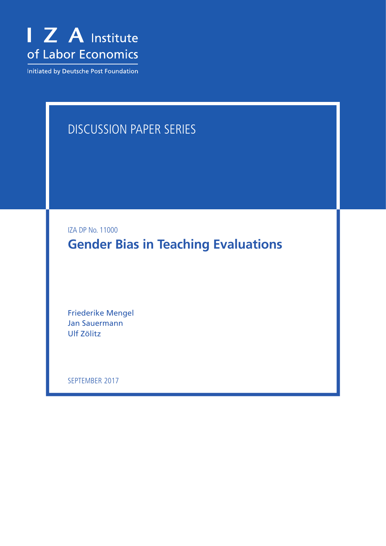

Initiated by Deutsche Post Foundation

# DISCUSSION PAPER SERIES

IZA DP No. 11000

**Gender Bias in Teaching Evaluations**

Friederike Mengel Jan Sauermann Ulf Zölitz

SEPTEMBER 2017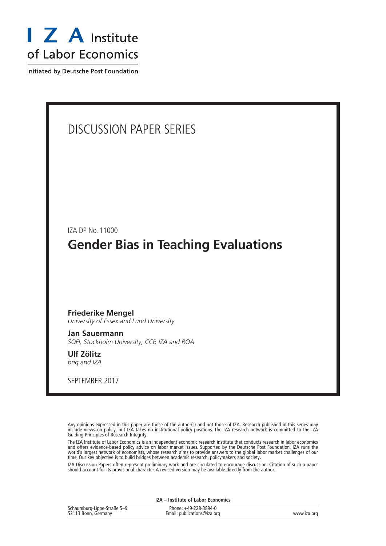

Initiated by Deutsche Post Foundation

# DISCUSSION PAPER SERIES IZA DP No. 11000 **Gender Bias in Teaching Evaluations** SEPTEMBER 2017 **Friederike Mengel** *University of Essex and Lund University* **Jan Sauermann** *SOFI, Stockholm University, CCP, IZA and ROA* **Ulf Zölitz** *briq and IZA*

Any opinions expressed in this paper are those of the author(s) and not those of IZA. Research published in this series may include views on policy, but IZA takes no institutional policy positions. The IZA research network is committed to the IZA Guiding Principles of Research Integrity.

The IZA Institute of Labor Economics is an independent economic research institute that conducts research in labor economics and offers evidence-based policy advice on labor market issues. Supported by the Deutsche Post Foundation, IZA runs the world's largest network of economists, whose research aims to provide answers to the global labor market challenges of our time. Our key objective is to build bridges between academic research, policymakers and society.

IZA Discussion Papers often represent preliminary work and are circulated to encourage discussion. Citation of such a paper should account for its provisional character. A revised version may be available directly from the author.

| IZA - Institute of Labor Economics                 |                                                      |             |  |  |
|----------------------------------------------------|------------------------------------------------------|-------------|--|--|
| Schaumburg-Lippe-Straße 5–9<br>53113 Bonn, Germany | Phone: +49-228-3894-0<br>Email: publications@iza.org | www.iza.org |  |  |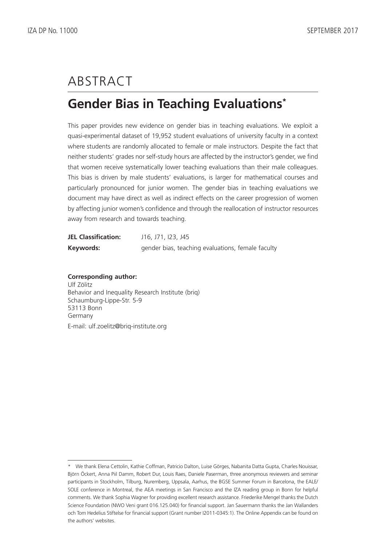# ABSTRACT

## **Gender Bias in Teaching Evaluations\***

This paper provides new evidence on gender bias in teaching evaluations. We exploit a quasi-experimental dataset of 19,952 student evaluations of university faculty in a context where students are randomly allocated to female or male instructors. Despite the fact that neither students' grades nor self-study hours are affected by the instructor's gender, we find that women receive systematically lower teaching evaluations than their male colleagues. This bias is driven by male students' evaluations, is larger for mathematical courses and particularly pronounced for junior women. The gender bias in teaching evaluations we document may have direct as well as indirect effects on the career progression of women by affecting junior women's confidence and through the reallocation of instructor resources away from research and towards teaching.

| <b>JEL Classification:</b> | J16, J71, I23, J45                                |
|----------------------------|---------------------------------------------------|
| Keywords:                  | gender bias, teaching evaluations, female faculty |

#### **Corresponding author:** Ulf Zölitz

Behavior and Inequality Research Institute (briq) Schaumburg-Lippe-Str. 5-9 53113 Bonn Germany E-mail: ulf.zoelitz@briq-institute.org

<sup>\*</sup> We thank Elena Cettolin, Kathie Coffman, Patricio Dalton, Luise Görges, Nabanita Datta Gupta, Charles Nouissar, Björn Öckert, Anna Piil Damm, Robert Dur, Louis Raes, Daniele Paserman, three anonymous reviewers and seminar participants in Stockholm, Tilburg, Nuremberg, Uppsala, Aarhus, the BGSE Summer Forum in Barcelona, the EALE/ SOLE conference in Montreal, the AEA meetings in San Francisco and the IZA reading group in Bonn for helpful comments. We thank Sophia Wagner for providing excellent research assistance. Friederike Mengel thanks the Dutch Science Foundation (NWO Veni grant 016.125.040) for financial support. Jan Sauermann thanks the Jan Wallanders och Tom Hedelius Stiftelse for financial support (Grant number I2011-0345:1). The Online Appendix can be found on the authors' websites.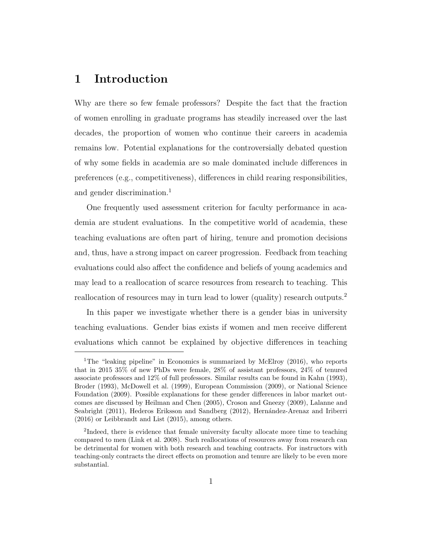## 1 Introduction

Why are there so few female professors? Despite the fact that the fraction of women enrolling in graduate programs has steadily increased over the last decades, the proportion of women who continue their careers in academia remains low. Potential explanations for the controversially debated question of why some fields in academia are so male dominated include differences in preferences (e.g., competitiveness), differences in child rearing responsibilities, and gender discrimination.<sup>1</sup>

One frequently used assessment criterion for faculty performance in academia are student evaluations. In the competitive world of academia, these teaching evaluations are often part of hiring, tenure and promotion decisions and, thus, have a strong impact on career progression. Feedback from teaching evaluations could also affect the confidence and beliefs of young academics and may lead to a reallocation of scarce resources from research to teaching. This reallocation of resources may in turn lead to lower (quality) research outputs.<sup>2</sup>

In this paper we investigate whether there is a gender bias in university teaching evaluations. Gender bias exists if women and men receive different evaluations which cannot be explained by objective differences in teaching

<sup>1</sup>The "leaking pipeline" in Economics is summarized by McElroy (2016), who reports that in 2015 35% of new PhDs were female, 28% of assistant professors, 24% of tenured associate professors and 12% of full professors. Similar results can be found in Kahn (1993), Broder (1993), McDowell et al. (1999), European Commission (2009), or National Science Foundation (2009). Possible explanations for these gender differences in labor market outcomes are discussed by Heilman and Chen (2005), Croson and Gneezy (2009), Lalanne and Seabright (2011), Hederos Eriksson and Sandberg (2012), Hernández-Arenaz and Iriberri (2016) or Leibbrandt and List (2015), among others.

<sup>&</sup>lt;sup>2</sup>Indeed, there is evidence that female university faculty allocate more time to teaching compared to men (Link et al. 2008). Such reallocations of resources away from research can be detrimental for women with both research and teaching contracts. For instructors with teaching-only contracts the direct effects on promotion and tenure are likely to be even more substantial.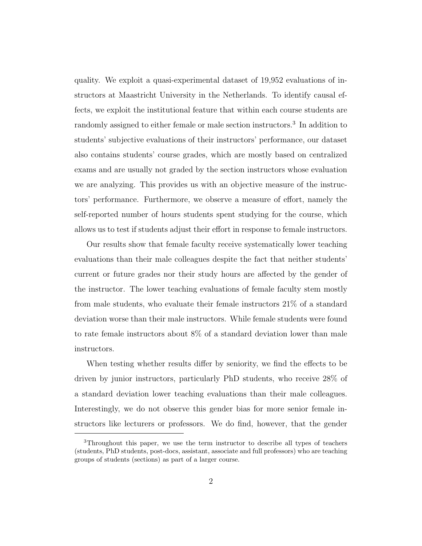quality. We exploit a quasi-experimental dataset of 19,952 evaluations of instructors at Maastricht University in the Netherlands. To identify causal effects, we exploit the institutional feature that within each course students are randomly assigned to either female or male section instructors.<sup>3</sup> In addition to students' subjective evaluations of their instructors' performance, our dataset also contains students' course grades, which are mostly based on centralized exams and are usually not graded by the section instructors whose evaluation we are analyzing. This provides us with an objective measure of the instructors' performance. Furthermore, we observe a measure of effort, namely the self-reported number of hours students spent studying for the course, which allows us to test if students adjust their effort in response to female instructors.

Our results show that female faculty receive systematically lower teaching evaluations than their male colleagues despite the fact that neither students' current or future grades nor their study hours are affected by the gender of the instructor. The lower teaching evaluations of female faculty stem mostly from male students, who evaluate their female instructors 21% of a standard deviation worse than their male instructors. While female students were found to rate female instructors about 8% of a standard deviation lower than male instructors.

When testing whether results differ by seniority, we find the effects to be driven by junior instructors, particularly PhD students, who receive 28% of a standard deviation lower teaching evaluations than their male colleagues. Interestingly, we do not observe this gender bias for more senior female instructors like lecturers or professors. We do find, however, that the gender

<sup>3</sup>Throughout this paper, we use the term instructor to describe all types of teachers (students, PhD students, post-docs, assistant, associate and full professors) who are teaching groups of students (sections) as part of a larger course.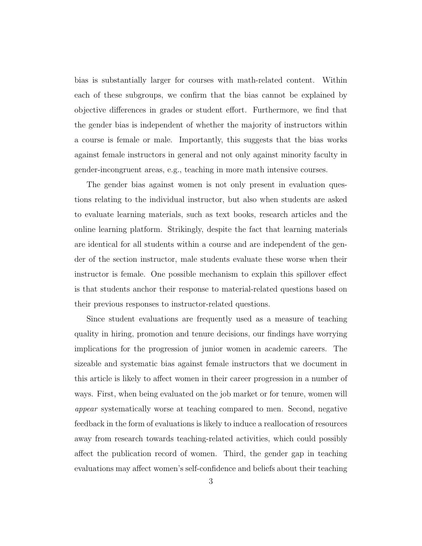bias is substantially larger for courses with math-related content. Within each of these subgroups, we confirm that the bias cannot be explained by objective differences in grades or student effort. Furthermore, we find that the gender bias is independent of whether the majority of instructors within a course is female or male. Importantly, this suggests that the bias works against female instructors in general and not only against minority faculty in gender-incongruent areas, e.g., teaching in more math intensive courses.

The gender bias against women is not only present in evaluation questions relating to the individual instructor, but also when students are asked to evaluate learning materials, such as text books, research articles and the online learning platform. Strikingly, despite the fact that learning materials are identical for all students within a course and are independent of the gender of the section instructor, male students evaluate these worse when their instructor is female. One possible mechanism to explain this spillover effect is that students anchor their response to material-related questions based on their previous responses to instructor-related questions.

Since student evaluations are frequently used as a measure of teaching quality in hiring, promotion and tenure decisions, our findings have worrying implications for the progression of junior women in academic careers. The sizeable and systematic bias against female instructors that we document in this article is likely to affect women in their career progression in a number of ways. First, when being evaluated on the job market or for tenure, women will appear systematically worse at teaching compared to men. Second, negative feedback in the form of evaluations is likely to induce a reallocation of resources away from research towards teaching-related activities, which could possibly affect the publication record of women. Third, the gender gap in teaching evaluations may affect women's self-confidence and beliefs about their teaching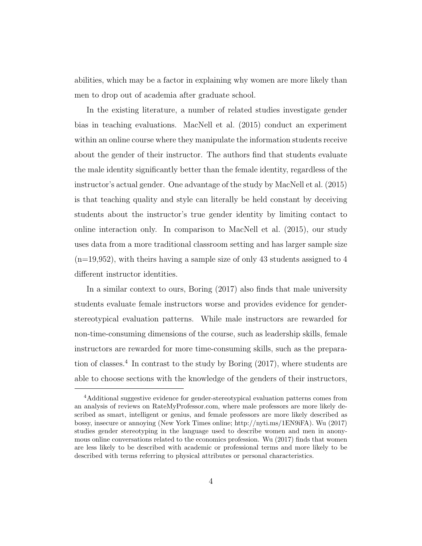abilities, which may be a factor in explaining why women are more likely than men to drop out of academia after graduate school.

In the existing literature, a number of related studies investigate gender bias in teaching evaluations. MacNell et al. (2015) conduct an experiment within an online course where they manipulate the information students receive about the gender of their instructor. The authors find that students evaluate the male identity significantly better than the female identity, regardless of the instructor's actual gender. One advantage of the study by MacNell et al. (2015) is that teaching quality and style can literally be held constant by deceiving students about the instructor's true gender identity by limiting contact to online interaction only. In comparison to MacNell et al. (2015), our study uses data from a more traditional classroom setting and has larger sample size  $(n=19,952)$ , with theirs having a sample size of only 43 students assigned to 4 different instructor identities.

In a similar context to ours, Boring (2017) also finds that male university students evaluate female instructors worse and provides evidence for genderstereotypical evaluation patterns. While male instructors are rewarded for non-time-consuming dimensions of the course, such as leadership skills, female instructors are rewarded for more time-consuming skills, such as the preparation of classes.<sup>4</sup> In contrast to the study by Boring  $(2017)$ , where students are able to choose sections with the knowledge of the genders of their instructors,

<sup>4</sup>Additional suggestive evidence for gender-stereotypical evaluation patterns comes from an analysis of reviews on RateMyProfessor.com, where male professors are more likely described as smart, intelligent or genius, and female professors are more likely described as bossy, insecure or annoying (New York Times online; http://nyti.ms/1EN9iFA). Wu (2017) studies gender stereotyping in the language used to describe women and men in anonymous online conversations related to the economics profession. Wu (2017) finds that women are less likely to be described with academic or professional terms and more likely to be described with terms referring to physical attributes or personal characteristics.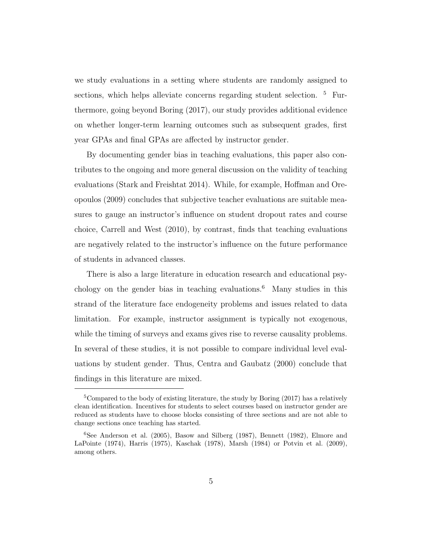we study evaluations in a setting where students are randomly assigned to sections, which helps alleviate concerns regarding student selection. <sup>5</sup> Furthermore, going beyond Boring (2017), our study provides additional evidence on whether longer-term learning outcomes such as subsequent grades, first year GPAs and final GPAs are affected by instructor gender.

By documenting gender bias in teaching evaluations, this paper also contributes to the ongoing and more general discussion on the validity of teaching evaluations (Stark and Freishtat 2014). While, for example, Hoffman and Oreopoulos (2009) concludes that subjective teacher evaluations are suitable measures to gauge an instructor's influence on student dropout rates and course choice, Carrell and West (2010), by contrast, finds that teaching evaluations are negatively related to the instructor's influence on the future performance of students in advanced classes.

There is also a large literature in education research and educational psychology on the gender bias in teaching evaluations.<sup>6</sup> Many studies in this strand of the literature face endogeneity problems and issues related to data limitation. For example, instructor assignment is typically not exogenous, while the timing of surveys and exams gives rise to reverse causality problems. In several of these studies, it is not possible to compare individual level evaluations by student gender. Thus, Centra and Gaubatz (2000) conclude that findings in this literature are mixed.

<sup>&</sup>lt;sup>5</sup>Compared to the body of existing literature, the study by Boring  $(2017)$  has a relatively clean identification. Incentives for students to select courses based on instructor gender are reduced as students have to choose blocks consisting of three sections and are not able to change sections once teaching has started.

 $6$ See Anderson et al. (2005), Basow and Silberg (1987), Bennett (1982), Elmore and LaPointe (1974), Harris (1975), Kaschak (1978), Marsh (1984) or Potvin et al. (2009), among others.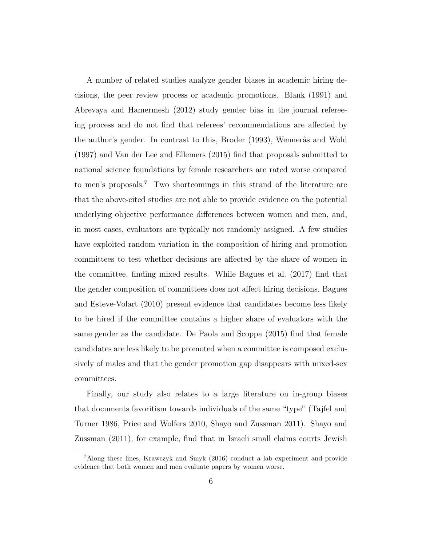A number of related studies analyze gender biases in academic hiring decisions, the peer review process or academic promotions. Blank (1991) and Abrevaya and Hamermesh (2012) study gender bias in the journal refereeing process and do not find that referees' recommendations are affected by the author's gender. In contrast to this, Broder (1993), Wennerås and Wold (1997) and Van der Lee and Ellemers (2015) find that proposals submitted to national science foundations by female researchers are rated worse compared to men's proposals.<sup>7</sup> Two shortcomings in this strand of the literature are that the above-cited studies are not able to provide evidence on the potential underlying objective performance differences between women and men, and, in most cases, evaluators are typically not randomly assigned. A few studies have exploited random variation in the composition of hiring and promotion committees to test whether decisions are affected by the share of women in the committee, finding mixed results. While Bagues et al. (2017) find that the gender composition of committees does not affect hiring decisions, Bagues and Esteve-Volart (2010) present evidence that candidates become less likely to be hired if the committee contains a higher share of evaluators with the same gender as the candidate. De Paola and Scoppa (2015) find that female candidates are less likely to be promoted when a committee is composed exclusively of males and that the gender promotion gap disappears with mixed-sex committees.

Finally, our study also relates to a large literature on in-group biases that documents favoritism towards individuals of the same "type" (Tajfel and Turner 1986, Price and Wolfers 2010, Shayo and Zussman 2011). Shayo and Zussman (2011), for example, find that in Israeli small claims courts Jewish

<sup>7</sup>Along these lines, Krawczyk and Smyk (2016) conduct a lab experiment and provide evidence that both women and men evaluate papers by women worse.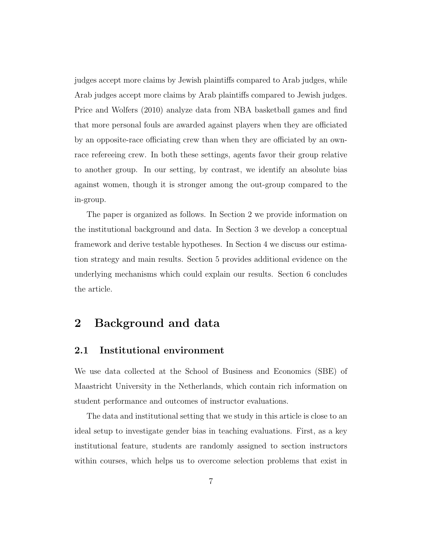judges accept more claims by Jewish plaintiffs compared to Arab judges, while Arab judges accept more claims by Arab plaintiffs compared to Jewish judges. Price and Wolfers (2010) analyze data from NBA basketball games and find that more personal fouls are awarded against players when they are officiated by an opposite-race officiating crew than when they are officiated by an ownrace refereeing crew. In both these settings, agents favor their group relative to another group. In our setting, by contrast, we identify an absolute bias against women, though it is stronger among the out-group compared to the in-group.

The paper is organized as follows. In Section 2 we provide information on the institutional background and data. In Section 3 we develop a conceptual framework and derive testable hypotheses. In Section 4 we discuss our estimation strategy and main results. Section 5 provides additional evidence on the underlying mechanisms which could explain our results. Section 6 concludes the article.

## 2 Background and data

### 2.1 Institutional environment

We use data collected at the School of Business and Economics (SBE) of Maastricht University in the Netherlands, which contain rich information on student performance and outcomes of instructor evaluations.

The data and institutional setting that we study in this article is close to an ideal setup to investigate gender bias in teaching evaluations. First, as a key institutional feature, students are randomly assigned to section instructors within courses, which helps us to overcome selection problems that exist in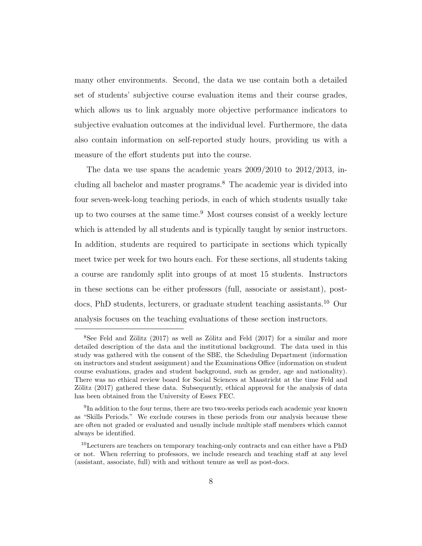many other environments. Second, the data we use contain both a detailed set of students' subjective course evaluation items and their course grades, which allows us to link arguably more objective performance indicators to subjective evaluation outcomes at the individual level. Furthermore, the data also contain information on self-reported study hours, providing us with a measure of the effort students put into the course.

The data we use spans the academic years  $2009/2010$  to  $2012/2013$ , including all bachelor and master programs.<sup>8</sup> The academic year is divided into four seven-week-long teaching periods, in each of which students usually take up to two courses at the same time. $9$  Most courses consist of a weekly lecture which is attended by all students and is typically taught by senior instructors. In addition, students are required to participate in sections which typically meet twice per week for two hours each. For these sections, all students taking a course are randomly split into groups of at most 15 students. Instructors in these sections can be either professors (full, associate or assistant), postdocs, PhD students, lecturers, or graduate student teaching assistants.<sup>10</sup> Our analysis focuses on the teaching evaluations of these section instructors.

 $8$ See Feld and Zölitz (2017) as well as Zölitz and Feld (2017) for a similar and more detailed description of the data and the institutional background. The data used in this study was gathered with the consent of the SBE, the Scheduling Department (information on instructors and student assignment) and the Examinations Office (information on student course evaluations, grades and student background, such as gender, age and nationality). There was no ethical review board for Social Sciences at Maastricht at the time Feld and Zölitz (2017) gathered these data. Subsequently, ethical approval for the analysis of data has been obtained from the University of Essex FEC.

<sup>&</sup>lt;sup>9</sup>In addition to the four terms, there are two two-weeks periods each academic year known as "Skills Periods." We exclude courses in these periods from our analysis because these are often not graded or evaluated and usually include multiple staff members which cannot always be identified.

<sup>&</sup>lt;sup>10</sup>Lecturers are teachers on temporary teaching-only contracts and can either have a PhD or not. When referring to professors, we include research and teaching staff at any level (assistant, associate, full) with and without tenure as well as post-docs.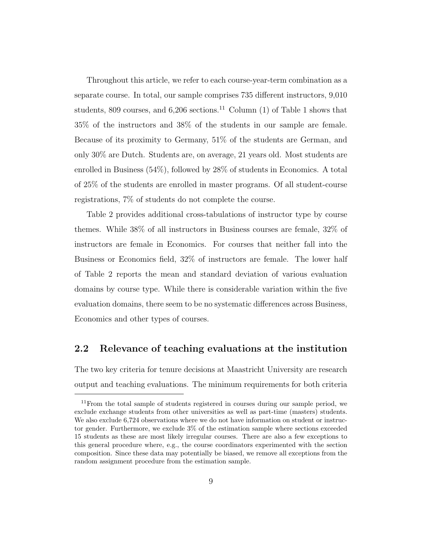Throughout this article, we refer to each course-year-term combination as a separate course. In total, our sample comprises 735 different instructors, 9,010 students, 809 courses, and  $6,206$  sections.<sup>11</sup> Column (1) of Table 1 shows that 35% of the instructors and 38% of the students in our sample are female. Because of its proximity to Germany, 51% of the students are German, and only 30% are Dutch. Students are, on average, 21 years old. Most students are enrolled in Business (54%), followed by 28% of students in Economics. A total of 25% of the students are enrolled in master programs. Of all student-course registrations, 7% of students do not complete the course.

Table 2 provides additional cross-tabulations of instructor type by course themes. While 38% of all instructors in Business courses are female, 32% of instructors are female in Economics. For courses that neither fall into the Business or Economics field, 32% of instructors are female. The lower half of Table 2 reports the mean and standard deviation of various evaluation domains by course type. While there is considerable variation within the five evaluation domains, there seem to be no systematic differences across Business, Economics and other types of courses.

### 2.2 Relevance of teaching evaluations at the institution

The two key criteria for tenure decisions at Maastricht University are research output and teaching evaluations. The minimum requirements for both criteria

<sup>&</sup>lt;sup>11</sup> From the total sample of students registered in courses during our sample period, we exclude exchange students from other universities as well as part-time (masters) students. We also exclude 6,724 observations where we do not have information on student or instructor gender. Furthermore, we exclude 3% of the estimation sample where sections exceeded 15 students as these are most likely irregular courses. There are also a few exceptions to this general procedure where, e.g., the course coordinators experimented with the section composition. Since these data may potentially be biased, we remove all exceptions from the random assignment procedure from the estimation sample.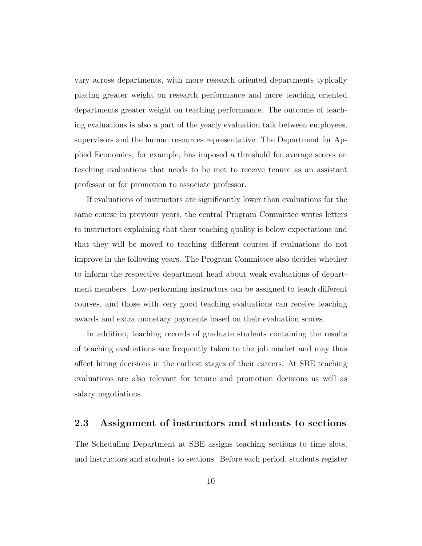vary across departments, with more research oriented departments typically placing greater weight on research performance and more teaching oriented departments greater weight on teaching performance. The outcome of teaching evaluations is also a part of the yearly evaluation talk between employees, supervisors and the human resources representative. The Department for Applied Economics, for example, has imposed a threshold for average scores on teaching evaluations that needs to be met to receive tenure as an assistant professor or for promotion to associate professor.

If evaluations of instructors are significantly lower than evaluations for the same course in previous years, the central Program Committee writes letters to instructors explaining that their teaching quality is below expectations and that they will be moved to teaching different courses if evaluations do not improve in the following years. The Program Committee also decides whether to inform the respective department head about weak evaluations of department members. Low-performing instructors can be assigned to teach different courses, and those with very good teaching evaluations can receive teaching awards and extra monetary payments based on their evaluation scores.

In addition, teaching records of graduate students containing the results of teaching evaluations are frequently taken to the job market and may thus affect hiring decisions in the earliest stages of their careers. At SBE teaching evaluations are also relevant for tenure and promotion decisions as well as salary negotiations.

#### 2.3 Assignment of instructors and students to sections

The Scheduling Department at SBE assigns teaching sections to time slots, and instructors and students to sections. Before each period, students register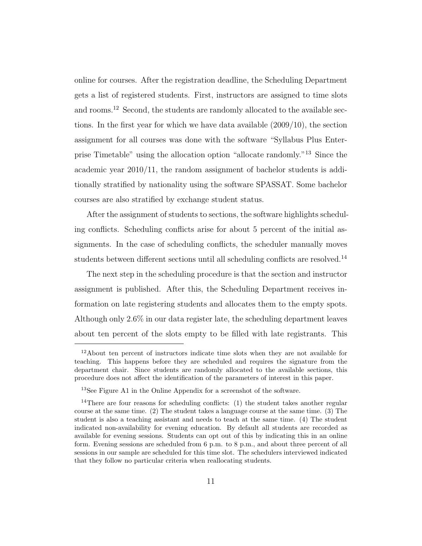online for courses. After the registration deadline, the Scheduling Department gets a list of registered students. First, instructors are assigned to time slots and rooms.<sup>12</sup> Second, the students are randomly allocated to the available sections. In the first year for which we have data available (2009/10), the section assignment for all courses was done with the software "Syllabus Plus Enterprise Timetable" using the allocation option "allocate randomly."<sup>13</sup> Since the academic year 2010/11, the random assignment of bachelor students is additionally stratified by nationality using the software SPASSAT. Some bachelor courses are also stratified by exchange student status.

After the assignment of students to sections, the software highlights scheduling conflicts. Scheduling conflicts arise for about 5 percent of the initial assignments. In the case of scheduling conflicts, the scheduler manually moves students between different sections until all scheduling conflicts are resolved.<sup>14</sup>

The next step in the scheduling procedure is that the section and instructor assignment is published. After this, the Scheduling Department receives information on late registering students and allocates them to the empty spots. Although only 2.6% in our data register late, the scheduling department leaves about ten percent of the slots empty to be filled with late registrants. This

<sup>12</sup>About ten percent of instructors indicate time slots when they are not available for teaching. This happens before they are scheduled and requires the signature from the department chair. Since students are randomly allocated to the available sections, this procedure does not affect the identification of the parameters of interest in this paper.

<sup>13</sup>See Figure A1 in the Online Appendix for a screenshot of the software.

<sup>&</sup>lt;sup>14</sup>There are four reasons for scheduling conflicts:  $(1)$  the student takes another regular course at the same time. (2) The student takes a language course at the same time. (3) The student is also a teaching assistant and needs to teach at the same time. (4) The student indicated non-availability for evening education. By default all students are recorded as available for evening sessions. Students can opt out of this by indicating this in an online form. Evening sessions are scheduled from 6 p.m. to 8 p.m., and about three percent of all sessions in our sample are scheduled for this time slot. The schedulers interviewed indicated that they follow no particular criteria when reallocating students.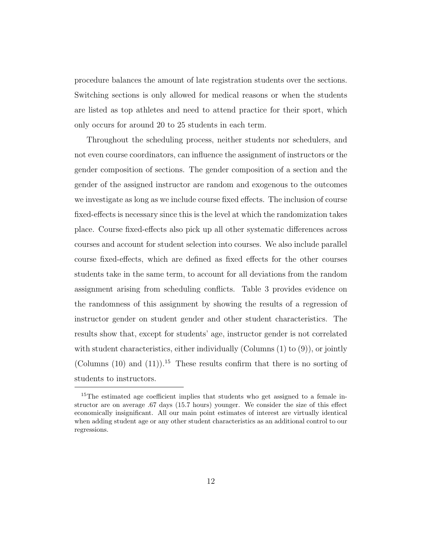procedure balances the amount of late registration students over the sections. Switching sections is only allowed for medical reasons or when the students are listed as top athletes and need to attend practice for their sport, which only occurs for around 20 to 25 students in each term.

Throughout the scheduling process, neither students nor schedulers, and not even course coordinators, can influence the assignment of instructors or the gender composition of sections. The gender composition of a section and the gender of the assigned instructor are random and exogenous to the outcomes we investigate as long as we include course fixed effects. The inclusion of course fixed-effects is necessary since this is the level at which the randomization takes place. Course fixed-effects also pick up all other systematic differences across courses and account for student selection into courses. We also include parallel course fixed-effects, which are defined as fixed effects for the other courses students take in the same term, to account for all deviations from the random assignment arising from scheduling conflicts. Table 3 provides evidence on the randomness of this assignment by showing the results of a regression of instructor gender on student gender and other student characteristics. The results show that, except for students' age, instructor gender is not correlated with student characteristics, either individually (Columns  $(1)$  to  $(9)$ ), or jointly (Columns  $(10)$  and  $(11)$ ).<sup>15</sup> These results confirm that there is no sorting of students to instructors.

<sup>&</sup>lt;sup>15</sup>The estimated age coefficient implies that students who get assigned to a female instructor are on average .67 days (15.7 hours) younger. We consider the size of this effect economically insignificant. All our main point estimates of interest are virtually identical when adding student age or any other student characteristics as an additional control to our regressions.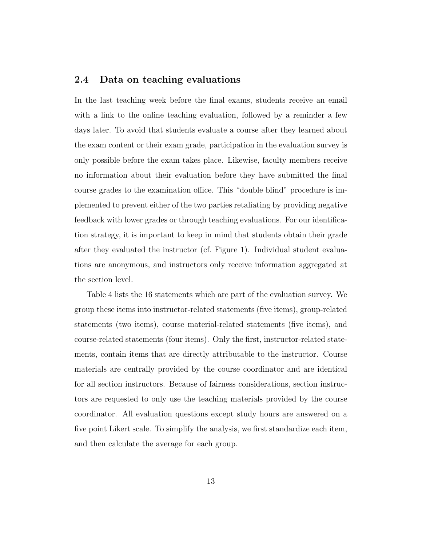### 2.4 Data on teaching evaluations

In the last teaching week before the final exams, students receive an email with a link to the online teaching evaluation, followed by a reminder a few days later. To avoid that students evaluate a course after they learned about the exam content or their exam grade, participation in the evaluation survey is only possible before the exam takes place. Likewise, faculty members receive no information about their evaluation before they have submitted the final course grades to the examination office. This "double blind" procedure is implemented to prevent either of the two parties retaliating by providing negative feedback with lower grades or through teaching evaluations. For our identification strategy, it is important to keep in mind that students obtain their grade after they evaluated the instructor (cf. Figure 1). Individual student evaluations are anonymous, and instructors only receive information aggregated at the section level.

Table 4 lists the 16 statements which are part of the evaluation survey. We group these items into instructor-related statements (five items), group-related statements (two items), course material-related statements (five items), and course-related statements (four items). Only the first, instructor-related statements, contain items that are directly attributable to the instructor. Course materials are centrally provided by the course coordinator and are identical for all section instructors. Because of fairness considerations, section instructors are requested to only use the teaching materials provided by the course coordinator. All evaluation questions except study hours are answered on a five point Likert scale. To simplify the analysis, we first standardize each item, and then calculate the average for each group.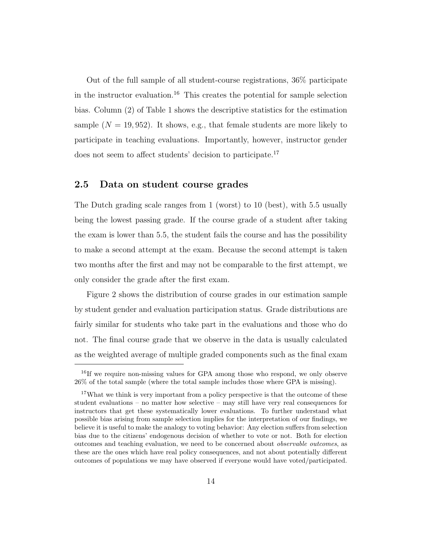Out of the full sample of all student-course registrations, 36% participate in the instructor evaluation.<sup>16</sup> This creates the potential for sample selection bias. Column (2) of Table 1 shows the descriptive statistics for the estimation sample  $(N = 19, 952)$ . It shows, e.g., that female students are more likely to participate in teaching evaluations. Importantly, however, instructor gender does not seem to affect students' decision to participate.<sup>17</sup>

#### 2.5 Data on student course grades

The Dutch grading scale ranges from 1 (worst) to 10 (best), with 5.5 usually being the lowest passing grade. If the course grade of a student after taking the exam is lower than 5.5, the student fails the course and has the possibility to make a second attempt at the exam. Because the second attempt is taken two months after the first and may not be comparable to the first attempt, we only consider the grade after the first exam.

Figure 2 shows the distribution of course grades in our estimation sample by student gender and evaluation participation status. Grade distributions are fairly similar for students who take part in the evaluations and those who do not. The final course grade that we observe in the data is usually calculated as the weighted average of multiple graded components such as the final exam

<sup>&</sup>lt;sup>16</sup>If we require non-missing values for GPA among those who respond, we only observe 26% of the total sample (where the total sample includes those where GPA is missing).

<sup>&</sup>lt;sup>17</sup>What we think is very important from a policy perspective is that the outcome of these student evaluations – no matter how selective – may still have very real consequences for instructors that get these systematically lower evaluations. To further understand what possible bias arising from sample selection implies for the interpretation of our findings, we believe it is useful to make the analogy to voting behavior: Any election suffers from selection bias due to the citizens' endogenous decision of whether to vote or not. Both for election outcomes and teaching evaluation, we need to be concerned about observable outcomes, as these are the ones which have real policy consequences, and not about potentially different outcomes of populations we may have observed if everyone would have voted/participated.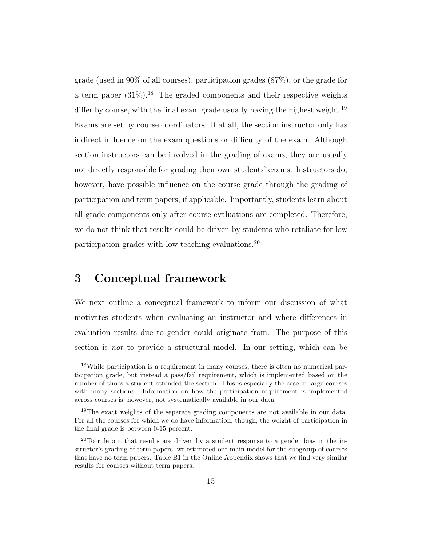grade (used in 90% of all courses), participation grades (87%), or the grade for a term paper  $(31\%)$ .<sup>18</sup> The graded components and their respective weights differ by course, with the final exam grade usually having the highest weight.<sup>19</sup> Exams are set by course coordinators. If at all, the section instructor only has indirect influence on the exam questions or difficulty of the exam. Although section instructors can be involved in the grading of exams, they are usually not directly responsible for grading their own students' exams. Instructors do, however, have possible influence on the course grade through the grading of participation and term papers, if applicable. Importantly, students learn about all grade components only after course evaluations are completed. Therefore, we do not think that results could be driven by students who retaliate for low participation grades with low teaching evaluations.<sup>20</sup>

## 3 Conceptual framework

We next outline a conceptual framework to inform our discussion of what motivates students when evaluating an instructor and where differences in evaluation results due to gender could originate from. The purpose of this section is not to provide a structural model. In our setting, which can be

<sup>&</sup>lt;sup>18</sup>While participation is a requirement in many courses, there is often no numerical participation grade, but instead a pass/fail requirement, which is implemented based on the number of times a student attended the section. This is especially the case in large courses with many sections. Information on how the participation requirement is implemented across courses is, however, not systematically available in our data.

<sup>&</sup>lt;sup>19</sup>The exact weights of the separate grading components are not available in our data. For all the courses for which we do have information, though, the weight of participation in the final grade is between 0-15 percent.

 $^{20}$ To rule out that results are driven by a student response to a gender bias in the instructor's grading of term papers, we estimated our main model for the subgroup of courses that have no term papers. Table B1 in the Online Appendix shows that we find very similar results for courses without term papers.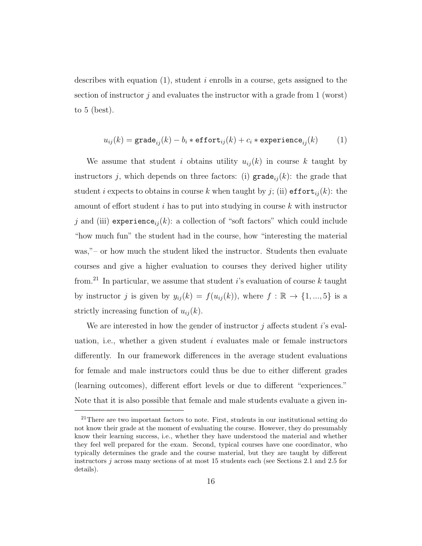describes with equation  $(1)$ , student i enrolls in a course, gets assigned to the section of instructor  $i$  and evaluates the instructor with a grade from 1 (worst) to 5 (best).

$$
u_{ij}(k) = \texttt{grade}_{ij}(k) - b_i * \texttt{effort}_{ij}(k) + c_i * \texttt{experimente}_{ij}(k) \qquad (1)
$$

We assume that student i obtains utility  $u_{ij}(k)$  in course k taught by instructors j, which depends on three factors: (i)  $\text{grade}_{ij}(k)$ : the grade that student *i* expects to obtains in course k when taught by j; (ii)  $\text{effort}_{ij}(k)$ : the amount of effort student i has to put into studying in course k with instructor j and (iii) experience<sub>ij</sub> $(k)$ : a collection of "soft factors" which could include "how much fun" the student had in the course, how "interesting the material was,"– or how much the student liked the instructor. Students then evaluate courses and give a higher evaluation to courses they derived higher utility from.<sup>21</sup> In particular, we assume that student i's evaluation of course k taught by instructor j is given by  $y_{ij}(k) = f(u_{ij}(k))$ , where  $f : \mathbb{R} \to \{1, ..., 5\}$  is a strictly increasing function of  $u_{ij}(k)$ .

We are interested in how the gender of instructor  $j$  affects student  $i$ 's evaluation, i.e., whether a given student  $i$  evaluates male or female instructors differently. In our framework differences in the average student evaluations for female and male instructors could thus be due to either different grades (learning outcomes), different effort levels or due to different "experiences." Note that it is also possible that female and male students evaluate a given in-

 $21$ There are two important factors to note. First, students in our institutional setting do not know their grade at the moment of evaluating the course. However, they do presumably know their learning success, i.e., whether they have understood the material and whether they feel well prepared for the exam. Second, typical courses have one coordinator, who typically determines the grade and the course material, but they are taught by different instructors  $j$  across many sections of at most 15 students each (see Sections 2.1 and 2.5 for details).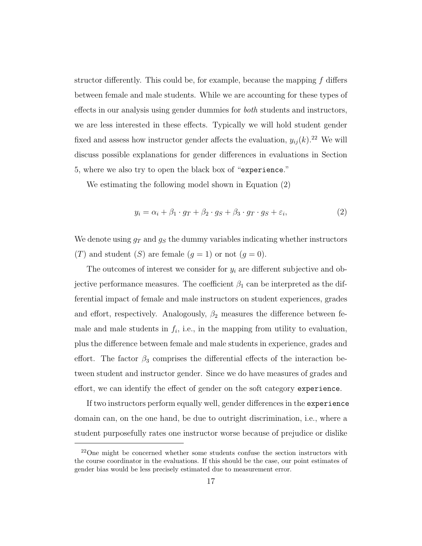structor differently. This could be, for example, because the mapping  $f$  differs between female and male students. While we are accounting for these types of effects in our analysis using gender dummies for *both* students and instructors, we are less interested in these effects. Typically we will hold student gender fixed and assess how instructor gender affects the evaluation,  $y_{ij}(k)$ <sup>22</sup> We will discuss possible explanations for gender differences in evaluations in Section 5, where we also try to open the black box of "experience."

We estimating the following model shown in Equation (2)

$$
y_i = \alpha_i + \beta_1 \cdot g_T + \beta_2 \cdot g_S + \beta_3 \cdot g_T \cdot g_S + \varepsilon_i,\tag{2}
$$

We denote using  $g_T$  and  $g_S$  the dummy variables indicating whether instructors (T) and student (S) are female  $(g = 1)$  or not  $(g = 0)$ .

The outcomes of interest we consider for  $y_i$  are different subjective and objective performance measures. The coefficient  $\beta_1$  can be interpreted as the differential impact of female and male instructors on student experiences, grades and effort, respectively. Analogously,  $\beta_2$  measures the difference between female and male students in  $f_i$ , i.e., in the mapping from utility to evaluation, plus the difference between female and male students in experience, grades and effort. The factor  $\beta_3$  comprises the differential effects of the interaction between student and instructor gender. Since we do have measures of grades and effort, we can identify the effect of gender on the soft category experience.

If two instructors perform equally well, gender differences in the experience domain can, on the one hand, be due to outright discrimination, i.e., where a student purposefully rates one instructor worse because of prejudice or dislike

 $^{22}$ One might be concerned whether some students confuse the section instructors with the course coordinator in the evaluations. If this should be the case, our point estimates of gender bias would be less precisely estimated due to measurement error.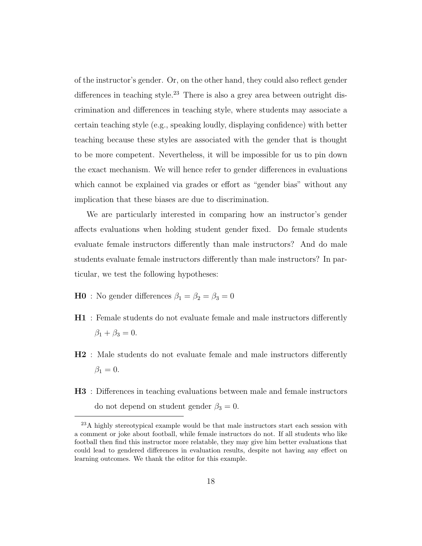of the instructor's gender. Or, on the other hand, they could also reflect gender differences in teaching style.<sup>23</sup> There is also a grey area between outright discrimination and differences in teaching style, where students may associate a certain teaching style (e.g., speaking loudly, displaying confidence) with better teaching because these styles are associated with the gender that is thought to be more competent. Nevertheless, it will be impossible for us to pin down the exact mechanism. We will hence refer to gender differences in evaluations which cannot be explained via grades or effort as "gender bias" without any implication that these biases are due to discrimination.

We are particularly interested in comparing how an instructor's gender affects evaluations when holding student gender fixed. Do female students evaluate female instructors differently than male instructors? And do male students evaluate female instructors differently than male instructors? In particular, we test the following hypotheses:

- $\mathbf{H0}\,$  : No gender differences  $\beta_1=\beta_2=\beta_3=0$
- H1 : Female students do not evaluate female and male instructors differently  $\beta_1 + \beta_3 = 0.$
- H2 : Male students do not evaluate female and male instructors differently  $\beta_1=0.$
- H3 : Differences in teaching evaluations between male and female instructors do not depend on student gender  $\beta_3 = 0$ .

<sup>&</sup>lt;sup>23</sup>A highly stereotypical example would be that male instructors start each session with a comment or joke about football, while female instructors do not. If all students who like football then find this instructor more relatable, they may give him better evaluations that could lead to gendered differences in evaluation results, despite not having any effect on learning outcomes. We thank the editor for this example.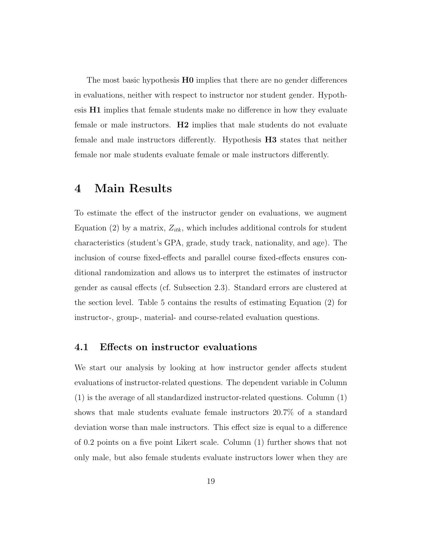The most basic hypothesis **H0** implies that there are no gender differences in evaluations, neither with respect to instructor nor student gender. Hypothesis H1 implies that female students make no difference in how they evaluate female or male instructors. H2 implies that male students do not evaluate female and male instructors differently. Hypothesis H3 states that neither female nor male students evaluate female or male instructors differently.

## 4 Main Results

To estimate the effect of the instructor gender on evaluations, we augment Equation (2) by a matrix,  $Z_{itk}$ , which includes additional controls for student characteristics (student's GPA, grade, study track, nationality, and age). The inclusion of course fixed-effects and parallel course fixed-effects ensures conditional randomization and allows us to interpret the estimates of instructor gender as causal effects (cf. Subsection 2.3). Standard errors are clustered at the section level. Table 5 contains the results of estimating Equation (2) for instructor-, group-, material- and course-related evaluation questions.

#### 4.1 Effects on instructor evaluations

We start our analysis by looking at how instructor gender affects student evaluations of instructor-related questions. The dependent variable in Column (1) is the average of all standardized instructor-related questions. Column (1) shows that male students evaluate female instructors 20.7% of a standard deviation worse than male instructors. This effect size is equal to a difference of 0.2 points on a five point Likert scale. Column (1) further shows that not only male, but also female students evaluate instructors lower when they are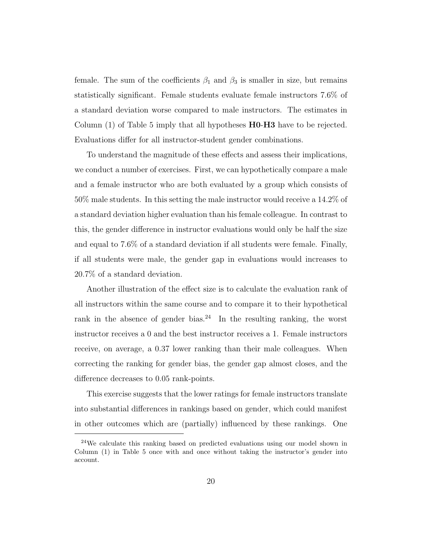female. The sum of the coefficients  $\beta_1$  and  $\beta_3$  is smaller in size, but remains statistically significant. Female students evaluate female instructors 7.6% of a standard deviation worse compared to male instructors. The estimates in Column (1) of Table 5 imply that all hypotheses **H0-H3** have to be rejected. Evaluations differ for all instructor-student gender combinations.

To understand the magnitude of these effects and assess their implications, we conduct a number of exercises. First, we can hypothetically compare a male and a female instructor who are both evaluated by a group which consists of 50% male students. In this setting the male instructor would receive a 14.2% of a standard deviation higher evaluation than his female colleague. In contrast to this, the gender difference in instructor evaluations would only be half the size and equal to 7.6% of a standard deviation if all students were female. Finally, if all students were male, the gender gap in evaluations would increases to 20.7% of a standard deviation.

Another illustration of the effect size is to calculate the evaluation rank of all instructors within the same course and to compare it to their hypothetical rank in the absence of gender bias.<sup>24</sup> In the resulting ranking, the worst instructor receives a 0 and the best instructor receives a 1. Female instructors receive, on average, a 0.37 lower ranking than their male colleagues. When correcting the ranking for gender bias, the gender gap almost closes, and the difference decreases to 0.05 rank-points.

This exercise suggests that the lower ratings for female instructors translate into substantial differences in rankings based on gender, which could manifest in other outcomes which are (partially) influenced by these rankings. One

<sup>24</sup>We calculate this ranking based on predicted evaluations using our model shown in Column (1) in Table 5 once with and once without taking the instructor's gender into account.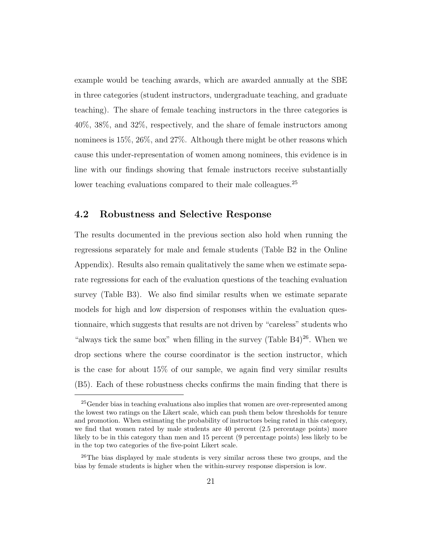example would be teaching awards, which are awarded annually at the SBE in three categories (student instructors, undergraduate teaching, and graduate teaching). The share of female teaching instructors in the three categories is 40%, 38%, and 32%, respectively, and the share of female instructors among nominees is 15\%, 26\%, and 27\%. Although there might be other reasons which cause this under-representation of women among nominees, this evidence is in line with our findings showing that female instructors receive substantially lower teaching evaluations compared to their male colleagues.<sup>25</sup>

#### 4.2 Robustness and Selective Response

The results documented in the previous section also hold when running the regressions separately for male and female students (Table B2 in the Online Appendix). Results also remain qualitatively the same when we estimate separate regressions for each of the evaluation questions of the teaching evaluation survey (Table B3). We also find similar results when we estimate separate models for high and low dispersion of responses within the evaluation questionnaire, which suggests that results are not driven by "careless" students who "always tick the same box" when filling in the survey (Table  $B4$ )<sup>26</sup>. When we drop sections where the course coordinator is the section instructor, which is the case for about 15% of our sample, we again find very similar results (B5). Each of these robustness checks confirms the main finding that there is

<sup>&</sup>lt;sup>25</sup>Gender bias in teaching evaluations also implies that women are over-represented among the lowest two ratings on the Likert scale, which can push them below thresholds for tenure and promotion. When estimating the probability of instructors being rated in this category, we find that women rated by male students are 40 percent (2.5 percentage points) more likely to be in this category than men and 15 percent (9 percentage points) less likely to be in the top two categories of the five-point Likert scale.

<sup>&</sup>lt;sup>26</sup>The bias displayed by male students is very similar across these two groups, and the bias by female students is higher when the within-survey response dispersion is low.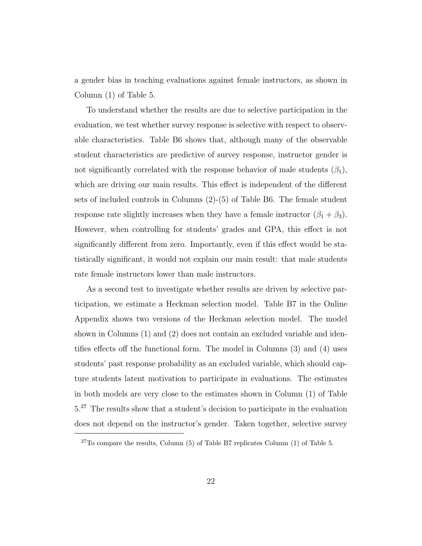a gender bias in teaching evaluations against female instructors, as shown in Column (1) of Table 5.

To understand whether the results are due to selective participation in the evaluation, we test whether survey response is selective with respect to observable characteristics. Table B6 shows that, although many of the observable student characteristics are predictive of survey response, instructor gender is not significantly correlated with the response behavior of male students  $(\beta_1)$ , which are driving our main results. This effect is independent of the different sets of included controls in Columns (2)-(5) of Table B6. The female student response rate slightly increases when they have a female instructor  $(\beta_1 + \beta_3)$ . However, when controlling for students' grades and GPA, this effect is not significantly different from zero. Importantly, even if this effect would be statistically significant, it would not explain our main result: that male students rate female instructors lower than male instructors.

As a second test to investigate whether results are driven by selective participation, we estimate a Heckman selection model. Table B7 in the Online Appendix shows two versions of the Heckman selection model. The model shown in Columns (1) and (2) does not contain an excluded variable and identifies effects off the functional form. The model in Columns (3) and (4) uses students' past response probability as an excluded variable, which should capture students latent motivation to participate in evaluations. The estimates in both models are very close to the estimates shown in Column (1) of Table 5.<sup>27</sup> The results show that a student's decision to participate in the evaluation does not depend on the instructor's gender. Taken together, selective survey

 $27$ To compare the results, Column (5) of Table B7 replicates Column (1) of Table 5.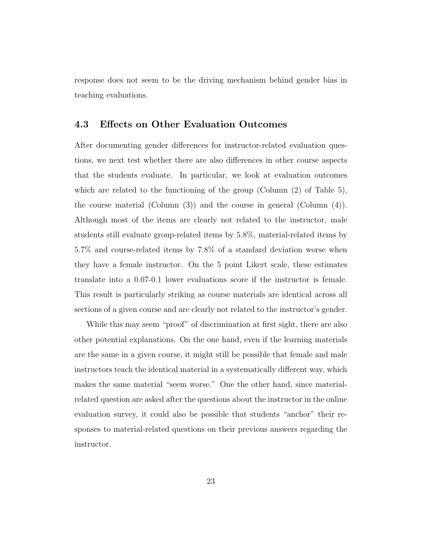response does not seem to be the driving mechanism behind gender bias in teaching evaluations.

### 4.3 Effects on Other Evaluation Outcomes

After documenting gender differences for instructor-related evaluation questions, we next test whether there are also differences in other course aspects that the students evaluate. In particular, we look at evaluation outcomes which are related to the functioning of the group (Column (2) of Table 5), the course material (Column (3)) and the course in general (Column (4)). Although most of the items are clearly not related to the instructor, male students still evaluate group-related items by 5.8%, material-related items by 5.7% and course-related items by 7.8% of a standard deviation worse when they have a female instructor. On the 5 point Likert scale, these estimates translate into a 0.07-0.1 lower evaluations score if the instructor is female. This result is particularly striking as course materials are identical across all sections of a given course and are clearly not related to the instructor's gender.

While this may seem "proof" of discrimination at first sight, there are also other potential explanations. On the one hand, even if the learning materials are the same in a given course, it might still be possible that female and male instructors teach the identical material in a systematically different way, which makes the same material "seem worse." One the other hand, since materialrelated question are asked after the questions about the instructor in the online evaluation survey, it could also be possible that students "anchor" their responses to material-related questions on their previous answers regarding the instructor.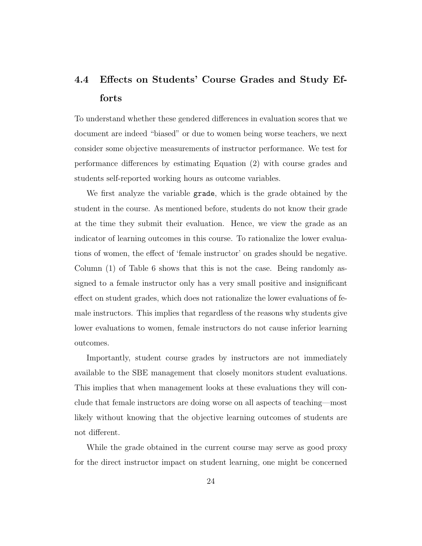## 4.4 Effects on Students' Course Grades and Study Efforts

To understand whether these gendered differences in evaluation scores that we document are indeed "biased" or due to women being worse teachers, we next consider some objective measurements of instructor performance. We test for performance differences by estimating Equation (2) with course grades and students self-reported working hours as outcome variables.

We first analyze the variable grade, which is the grade obtained by the student in the course. As mentioned before, students do not know their grade at the time they submit their evaluation. Hence, we view the grade as an indicator of learning outcomes in this course. To rationalize the lower evaluations of women, the effect of 'female instructor' on grades should be negative. Column (1) of Table 6 shows that this is not the case. Being randomly assigned to a female instructor only has a very small positive and insignificant effect on student grades, which does not rationalize the lower evaluations of female instructors. This implies that regardless of the reasons why students give lower evaluations to women, female instructors do not cause inferior learning outcomes.

Importantly, student course grades by instructors are not immediately available to the SBE management that closely monitors student evaluations. This implies that when management looks at these evaluations they will conclude that female instructors are doing worse on all aspects of teaching—most likely without knowing that the objective learning outcomes of students are not different.

While the grade obtained in the current course may serve as good proxy for the direct instructor impact on student learning, one might be concerned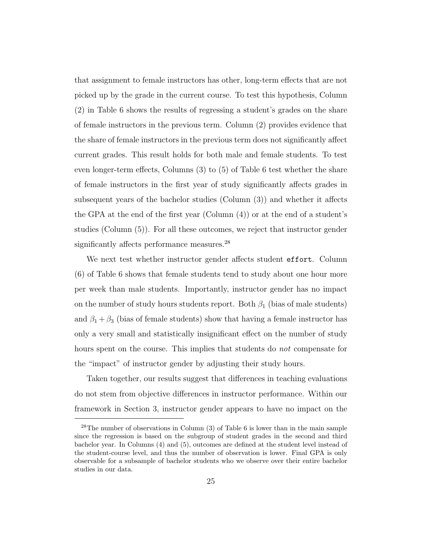that assignment to female instructors has other, long-term effects that are not picked up by the grade in the current course. To test this hypothesis, Column (2) in Table 6 shows the results of regressing a student's grades on the share of female instructors in the previous term. Column (2) provides evidence that the share of female instructors in the previous term does not significantly affect current grades. This result holds for both male and female students. To test even longer-term effects, Columns (3) to (5) of Table 6 test whether the share of female instructors in the first year of study significantly affects grades in subsequent years of the bachelor studies (Column (3)) and whether it affects the GPA at the end of the first year (Column (4)) or at the end of a student's studies (Column (5)). For all these outcomes, we reject that instructor gender significantly affects performance measures.<sup>28</sup>

We next test whether instructor gender affects student effort. Column (6) of Table 6 shows that female students tend to study about one hour more per week than male students. Importantly, instructor gender has no impact on the number of study hours students report. Both  $\beta_1$  (bias of male students) and  $\beta_1 + \beta_3$  (bias of female students) show that having a female instructor has only a very small and statistically insignificant effect on the number of study hours spent on the course. This implies that students do *not* compensate for the "impact" of instructor gender by adjusting their study hours.

Taken together, our results suggest that differences in teaching evaluations do not stem from objective differences in instructor performance. Within our framework in Section 3, instructor gender appears to have no impact on the

 $28$ The number of observations in Column (3) of Table 6 is lower than in the main sample since the regression is based on the subgroup of student grades in the second and third bachelor year. In Columns (4) and (5), outcomes are defined at the student level instead of the student-course level, and thus the number of observation is lower. Final GPA is only observable for a subsample of bachelor students who we observe over their entire bachelor studies in our data.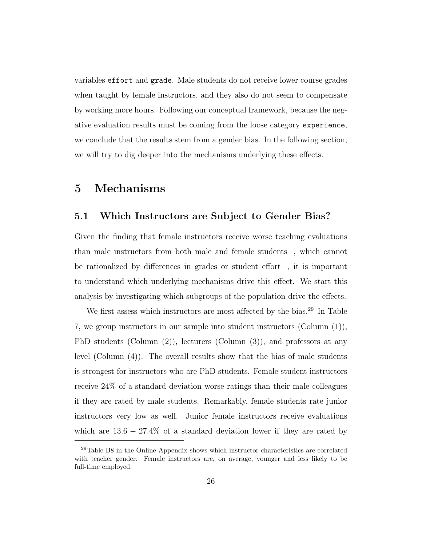variables effort and grade. Male students do not receive lower course grades when taught by female instructors, and they also do not seem to compensate by working more hours. Following our conceptual framework, because the negative evaluation results must be coming from the loose category experience, we conclude that the results stem from a gender bias. In the following section, we will try to dig deeper into the mechanisms underlying these effects.

## 5 Mechanisms

#### 5.1 Which Instructors are Subject to Gender Bias?

Given the finding that female instructors receive worse teaching evaluations than male instructors from both male and female students−, which cannot be rationalized by differences in grades or student effort−, it is important to understand which underlying mechanisms drive this effect. We start this analysis by investigating which subgroups of the population drive the effects.

We first assess which instructors are most affected by the bias.<sup>29</sup> In Table 7, we group instructors in our sample into student instructors (Column (1)), PhD students (Column (2)), lecturers (Column (3)), and professors at any level (Column (4)). The overall results show that the bias of male students is strongest for instructors who are PhD students. Female student instructors receive 24% of a standard deviation worse ratings than their male colleagues if they are rated by male students. Remarkably, female students rate junior instructors very low as well. Junior female instructors receive evaluations which are  $13.6 - 27.4\%$  of a standard deviation lower if they are rated by

<sup>29</sup>Table B8 in the Online Appendix shows which instructor characteristics are correlated with teacher gender. Female instructors are, on average, younger and less likely to be full-time employed.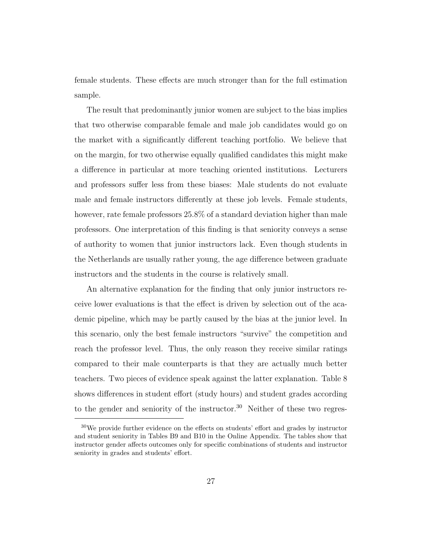female students. These effects are much stronger than for the full estimation sample.

The result that predominantly junior women are subject to the bias implies that two otherwise comparable female and male job candidates would go on the market with a significantly different teaching portfolio. We believe that on the margin, for two otherwise equally qualified candidates this might make a difference in particular at more teaching oriented institutions. Lecturers and professors suffer less from these biases: Male students do not evaluate male and female instructors differently at these job levels. Female students, however, rate female professors 25.8% of a standard deviation higher than male professors. One interpretation of this finding is that seniority conveys a sense of authority to women that junior instructors lack. Even though students in the Netherlands are usually rather young, the age difference between graduate instructors and the students in the course is relatively small.

An alternative explanation for the finding that only junior instructors receive lower evaluations is that the effect is driven by selection out of the academic pipeline, which may be partly caused by the bias at the junior level. In this scenario, only the best female instructors "survive" the competition and reach the professor level. Thus, the only reason they receive similar ratings compared to their male counterparts is that they are actually much better teachers. Two pieces of evidence speak against the latter explanation. Table 8 shows differences in student effort (study hours) and student grades according to the gender and seniority of the instructor.<sup>30</sup> Neither of these two regres-

<sup>&</sup>lt;sup>30</sup>We provide further evidence on the effects on students' effort and grades by instructor and student seniority in Tables B9 and B10 in the Online Appendix. The tables show that instructor gender affects outcomes only for specific combinations of students and instructor seniority in grades and students' effort.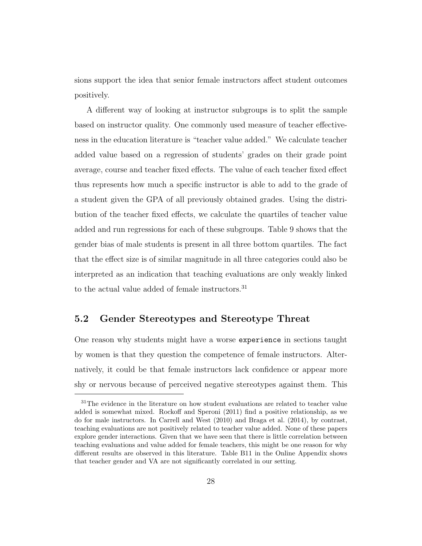sions support the idea that senior female instructors affect student outcomes positively.

A different way of looking at instructor subgroups is to split the sample based on instructor quality. One commonly used measure of teacher effectiveness in the education literature is "teacher value added." We calculate teacher added value based on a regression of students' grades on their grade point average, course and teacher fixed effects. The value of each teacher fixed effect thus represents how much a specific instructor is able to add to the grade of a student given the GPA of all previously obtained grades. Using the distribution of the teacher fixed effects, we calculate the quartiles of teacher value added and run regressions for each of these subgroups. Table 9 shows that the gender bias of male students is present in all three bottom quartiles. The fact that the effect size is of similar magnitude in all three categories could also be interpreted as an indication that teaching evaluations are only weakly linked to the actual value added of female instructors.<sup>31</sup>

## 5.2 Gender Stereotypes and Stereotype Threat

One reason why students might have a worse experience in sections taught by women is that they question the competence of female instructors. Alternatively, it could be that female instructors lack confidence or appear more shy or nervous because of perceived negative stereotypes against them. This

<sup>&</sup>lt;sup>31</sup>The evidence in the literature on how student evaluations are related to teacher value added is somewhat mixed. Rockoff and Speroni (2011) find a positive relationship, as we do for male instructors. In Carrell and West (2010) and Braga et al. (2014), by contrast, teaching evaluations are not positively related to teacher value added. None of these papers explore gender interactions. Given that we have seen that there is little correlation between teaching evaluations and value added for female teachers, this might be one reason for why different results are observed in this literature. Table B11 in the Online Appendix shows that teacher gender and VA are not significantly correlated in our setting.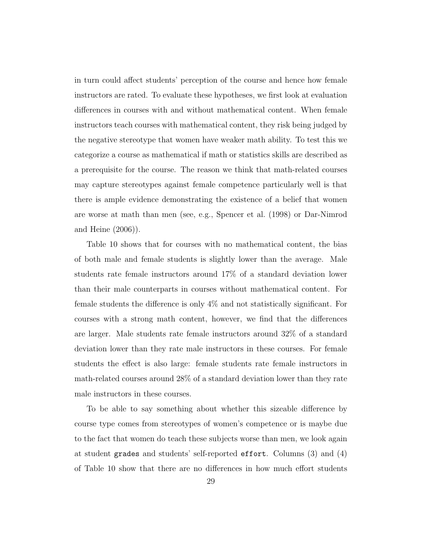in turn could affect students' perception of the course and hence how female instructors are rated. To evaluate these hypotheses, we first look at evaluation differences in courses with and without mathematical content. When female instructors teach courses with mathematical content, they risk being judged by the negative stereotype that women have weaker math ability. To test this we categorize a course as mathematical if math or statistics skills are described as a prerequisite for the course. The reason we think that math-related courses may capture stereotypes against female competence particularly well is that there is ample evidence demonstrating the existence of a belief that women are worse at math than men (see, e.g., Spencer et al. (1998) or Dar-Nimrod and Heine (2006)).

Table 10 shows that for courses with no mathematical content, the bias of both male and female students is slightly lower than the average. Male students rate female instructors around 17% of a standard deviation lower than their male counterparts in courses without mathematical content. For female students the difference is only 4% and not statistically significant. For courses with a strong math content, however, we find that the differences are larger. Male students rate female instructors around 32% of a standard deviation lower than they rate male instructors in these courses. For female students the effect is also large: female students rate female instructors in math-related courses around 28% of a standard deviation lower than they rate male instructors in these courses.

To be able to say something about whether this sizeable difference by course type comes from stereotypes of women's competence or is maybe due to the fact that women do teach these subjects worse than men, we look again at student grades and students' self-reported effort. Columns (3) and (4) of Table 10 show that there are no differences in how much effort students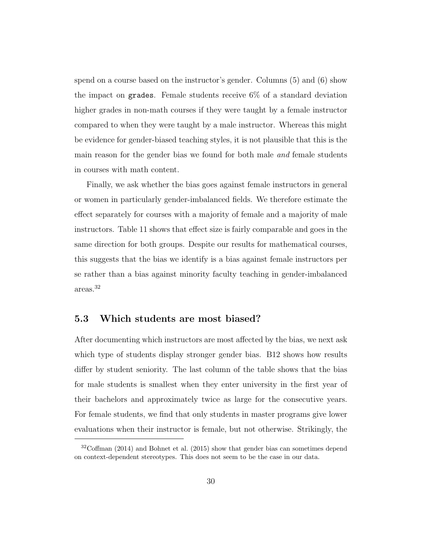spend on a course based on the instructor's gender. Columns (5) and (6) show the impact on grades. Female students receive 6% of a standard deviation higher grades in non-math courses if they were taught by a female instructor compared to when they were taught by a male instructor. Whereas this might be evidence for gender-biased teaching styles, it is not plausible that this is the main reason for the gender bias we found for both male and female students in courses with math content.

Finally, we ask whether the bias goes against female instructors in general or women in particularly gender-imbalanced fields. We therefore estimate the effect separately for courses with a majority of female and a majority of male instructors. Table 11 shows that effect size is fairly comparable and goes in the same direction for both groups. Despite our results for mathematical courses, this suggests that the bias we identify is a bias against female instructors per se rather than a bias against minority faculty teaching in gender-imbalanced areas.<sup>32</sup>

#### 5.3 Which students are most biased?

After documenting which instructors are most affected by the bias, we next ask which type of students display stronger gender bias. B12 shows how results differ by student seniority. The last column of the table shows that the bias for male students is smallest when they enter university in the first year of their bachelors and approximately twice as large for the consecutive years. For female students, we find that only students in master programs give lower evaluations when their instructor is female, but not otherwise. Strikingly, the

 $32C$ offman (2014) and Bohnet et al. (2015) show that gender bias can sometimes depend on context-dependent stereotypes. This does not seem to be the case in our data.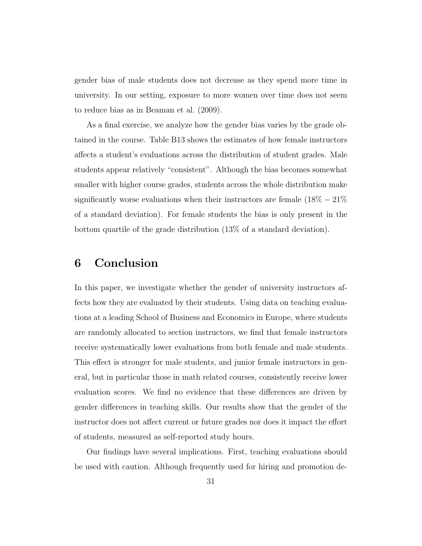gender bias of male students does not decrease as they spend more time in university. In our setting, exposure to more women over time does not seem to reduce bias as in Beaman et al. (2009).

As a final exercise, we analyze how the gender bias varies by the grade obtained in the course. Table B13 shows the estimates of how female instructors affects a student's evaluations across the distribution of student grades. Male students appear relatively "consistent". Although the bias becomes somewhat smaller with higher course grades, students across the whole distribution make significantly worse evaluations when their instructors are female  $(18\% - 21\%)$ of a standard deviation). For female students the bias is only present in the bottom quartile of the grade distribution (13% of a standard deviation).

## 6 Conclusion

In this paper, we investigate whether the gender of university instructors affects how they are evaluated by their students. Using data on teaching evaluations at a leading School of Business and Economics in Europe, where students are randomly allocated to section instructors, we find that female instructors receive systematically lower evaluations from both female and male students. This effect is stronger for male students, and junior female instructors in general, but in particular those in math related courses, consistently receive lower evaluation scores. We find no evidence that these differences are driven by gender differences in teaching skills. Our results show that the gender of the instructor does not affect current or future grades nor does it impact the effort of students, measured as self-reported study hours.

Our findings have several implications. First, teaching evaluations should be used with caution. Although frequently used for hiring and promotion de-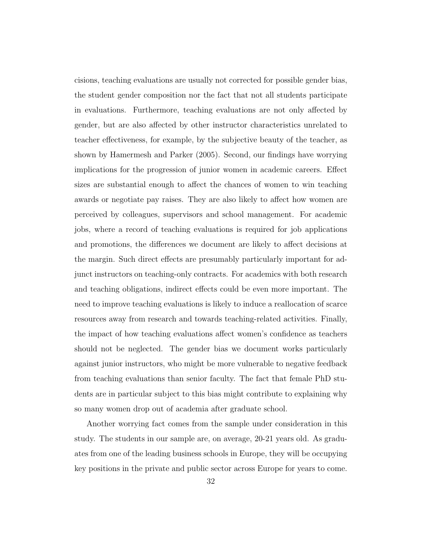cisions, teaching evaluations are usually not corrected for possible gender bias, the student gender composition nor the fact that not all students participate in evaluations. Furthermore, teaching evaluations are not only affected by gender, but are also affected by other instructor characteristics unrelated to teacher effectiveness, for example, by the subjective beauty of the teacher, as shown by Hamermesh and Parker (2005). Second, our findings have worrying implications for the progression of junior women in academic careers. Effect sizes are substantial enough to affect the chances of women to win teaching awards or negotiate pay raises. They are also likely to affect how women are perceived by colleagues, supervisors and school management. For academic jobs, where a record of teaching evaluations is required for job applications and promotions, the differences we document are likely to affect decisions at the margin. Such direct effects are presumably particularly important for adjunct instructors on teaching-only contracts. For academics with both research and teaching obligations, indirect effects could be even more important. The need to improve teaching evaluations is likely to induce a reallocation of scarce resources away from research and towards teaching-related activities. Finally, the impact of how teaching evaluations affect women's confidence as teachers should not be neglected. The gender bias we document works particularly against junior instructors, who might be more vulnerable to negative feedback from teaching evaluations than senior faculty. The fact that female PhD students are in particular subject to this bias might contribute to explaining why so many women drop out of academia after graduate school.

Another worrying fact comes from the sample under consideration in this study. The students in our sample are, on average, 20-21 years old. As graduates from one of the leading business schools in Europe, they will be occupying key positions in the private and public sector across Europe for years to come.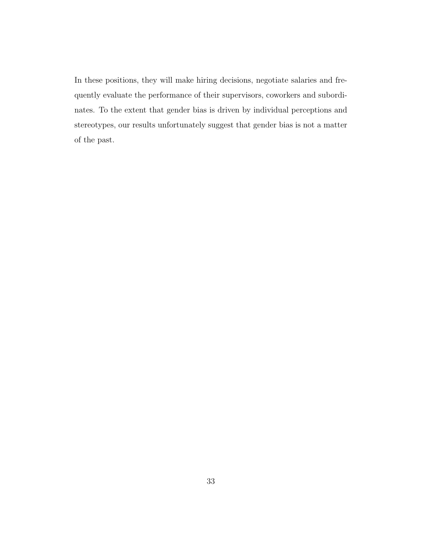In these positions, they will make hiring decisions, negotiate salaries and frequently evaluate the performance of their supervisors, coworkers and subordinates. To the extent that gender bias is driven by individual perceptions and stereotypes, our results unfortunately suggest that gender bias is not a matter of the past.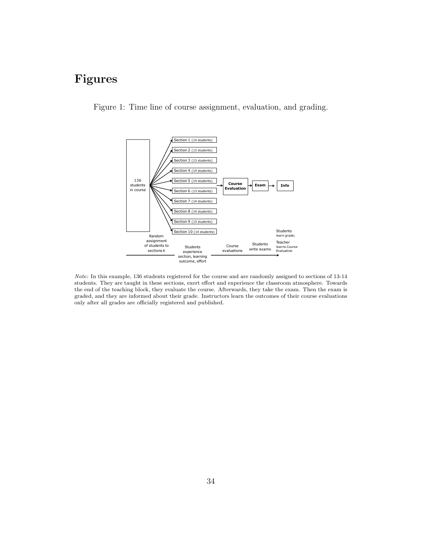## Figures

Figure 1: Time line of course assignment, evaluation, and grading.



Note: In this example, 136 students registered for the course and are randomly assigned to sections of 13-14 students. They are taught in these sections, exert effort and experience the classroom atmosphere. Towards the end of the teaching block, they evaluate the course. Afterwards, they take the exam. Then the exam is graded, and they are informed about their grade. Instructors learn the outcomes of their course evaluations only after all grades are officially registered and published.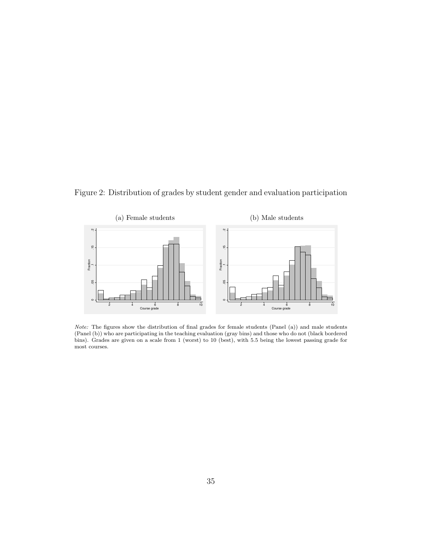Figure 2: Distribution of grades by student gender and evaluation participation



Note: The figures show the distribution of final grades for female students (Panel (a)) and male students (Panel (b)) who are participating in the teaching evaluation (gray bins) and those who do not (black bordered bins). Grades are given on a scale from 1 (worst) to 10 (best), with 5.5 being the lowest passing grade for most courses.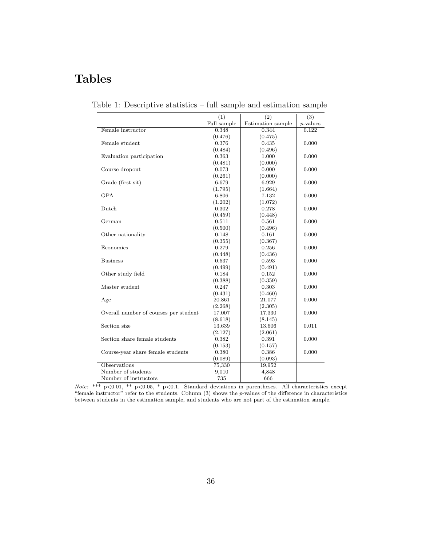## Tables

|                                       | $\overline{(1)}$ | $\overline{(2)}$  | $\overline{(3)}$ |
|---------------------------------------|------------------|-------------------|------------------|
|                                       | Full sample      | Estimation sample | $p$ -values      |
| Female instructor                     | 0.348            | 0.344             | 0.122            |
|                                       | (0.476)          | (0.475)           |                  |
| Female student                        | 0.376            | 0.435             | 0.000            |
|                                       | (0.484)          | (0.496)           |                  |
| Evaluation participation              | 0.363            | 1.000             | 0.000            |
|                                       | (0.481)          | (0.000)           |                  |
| Course dropout                        | 0.073            | 0.000             | 0.000            |
|                                       | (0.261)          | (0.000)           |                  |
| Grade (first sit)                     | 6.679            | 6.929             | 0.000            |
|                                       | (1.795)          | (1.664)           |                  |
| <b>GPA</b>                            | 6.806            | 7.132             | 0.000            |
|                                       | (1.202)          | (1.072)           |                  |
| Dutch                                 | 0.302            | 0.278             | 0.000            |
|                                       | (0.459)          | (0.448)           |                  |
| German                                | 0.511            | 0.561             | 0.000            |
|                                       | (0.500)          | (0.496)           |                  |
| Other nationality                     | 0.148            | 0.161             | 0.000            |
|                                       | (0.355)          | (0.367)           |                  |
| Economics                             | 0.279            | 0.256             | 0.000            |
|                                       | (0.448)          | (0.436)           |                  |
| <b>Business</b>                       | 0.537            | 0.593             | 0.000            |
|                                       | (0.499)          | (0.491)           |                  |
| Other study field                     | 0.184            | 0.152             | 0.000            |
|                                       | (0.388)          | (0.359)           |                  |
| Master student                        | 0.247            | 0.303             | 0.000            |
|                                       | (0.431)          | (0.460)           |                  |
| Age                                   | 20.861           | 21.077            | 0.000            |
|                                       | (2.268)          | (2.305)           |                  |
| Overall number of courses per student | 17.007           | 17.330            | 0.000            |
|                                       | (8.618)          | (8.145)           |                  |
| Section size                          | 13.639           | 13.606            | 0.011            |
|                                       | (2.127)          | (2.061)           |                  |
| Section share female students         | 0.382            | 0.391             | 0.000            |
|                                       | (0.153)          | (0.157)           |                  |
| Course-year share female students     | 0.380            | 0.386             | 0.000            |
|                                       | (0.089)          | (0.093)           |                  |
| Observations                          | 75,330           | 19,952            |                  |
| Number of students                    | 9,010            | 4,848             |                  |
| Number of instructors                 | 735              | 666               |                  |

Table 1: Descriptive statistics – full sample and estimation sample

Note: \*\*\*  $p<0.01$ , \*\*  $p<0.05$ , \*  $p<0.1$ . Standard deviations in parentheses. All characteristics except "female instructor" refer to the students. Column  $(3)$  shows the p-values of the difference in characteristics between students in the estimation sample, and students who are not part of the estimation sample.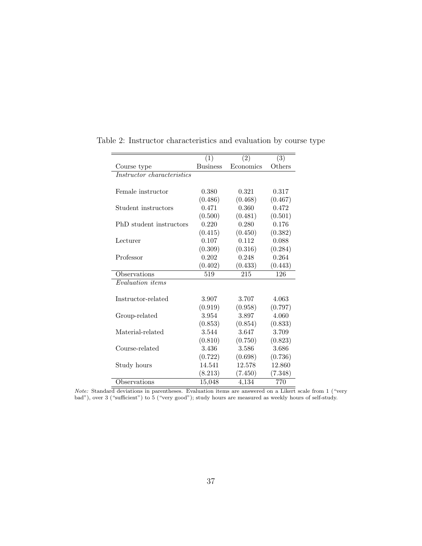|                            | (1)             | (2)       | (3)     |
|----------------------------|-----------------|-----------|---------|
| Course type                | <b>Business</b> | Economics | Others  |
| Instructor characteristics |                 |           |         |
|                            |                 |           |         |
| Female instructor          | 0.380           | 0.321     | 0.317   |
|                            | (0.486)         | (0.468)   | (0.467) |
| Student instructors        | 0.471           | 0.360     | 0.472   |
|                            | (0.500)         | (0.481)   | (0.501) |
| PhD student instructors    | 0.220           | 0.280     | 0.176   |
|                            | (0.415)         | (0.450)   | (0.382) |
| Lecturer                   | 0.107           | 0.112     | 0.088   |
|                            | (0.309)         | (0.316)   | (0.284) |
| Professor                  | 0.202           | 0.248     | 0.264   |
|                            | (0.402)         | (0.433)   | (0.443) |
| Observations               | 519             | 215       | 126     |
| Evaluation <i>items</i>    |                 |           |         |
|                            |                 |           |         |
| Instructor-related         | 3.907           | 3.707     | 4.063   |
|                            | (0.919)         | (0.958)   | (0.797) |
| Group-related              | 3.954           | 3.897     | 4.060   |
|                            | (0.853)         | (0.854)   | (0.833) |
| Material-related           | 3.544           | 3.647     | 3.709   |
|                            | (0.810)         | (0.750)   | (0.823) |
| Course-related             | 3.436           | 3.586     | 3.686   |
|                            | (0.722)         | (0.698)   | (0.736) |
| Study hours                | 14.541          | 12.578    | 12.860  |
|                            | (8.213)         | (7.450)   | (7.348) |
| Observations               | 15,048          | 4,134     | 770     |

Table 2: Instructor characteristics and evaluation by course type

Note: Standard deviations in parentheses. Evaluation items are answered on a Likert scale from 1 ("very bad"), over 3 ("sufficient") to  $5$  ("very good"); study hours are measured as weekly hours of self-study.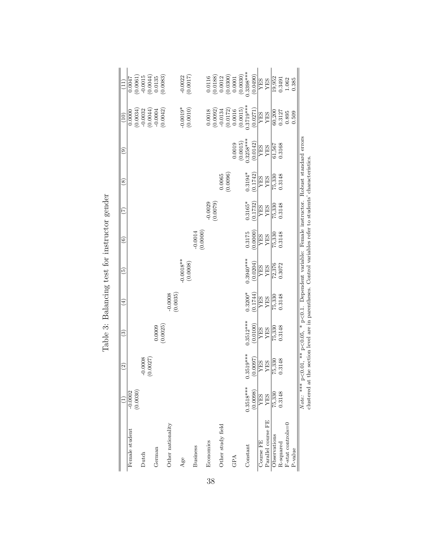| $0.3940***$<br>$-0.0018**$<br>(0.0008)<br>(0.0204)<br>72,376<br>0.3072<br>YES<br><b>SHA</b><br>$0.3200*$<br>$-0.0008$<br>$(0.0035)$<br>(0.1744)<br>0.3148<br>75,330<br>YES<br><b>SHA</b><br>$0.3512***$<br>(0.0100)<br>(0.0009)<br>0.3148<br>75,330<br><b>SHA</b><br>YES<br>$0.3519***$<br>1.0008<br>.0027)<br>(0.0097)<br>75,330<br>.3148<br>YES<br><b>SHA</b><br>ę<br>$\subseteq$<br>$0.3518***$<br>(0.0098)<br>(0.0030)<br>$-0.0002$<br>0.3148<br>75,330<br><b>AES</b><br>YES<br>Parallel course FE<br>Other nationality<br>Other study field<br>Female student<br>Observations<br>Economics<br><b>Dourse FE</b><br>R-squared<br>Constant<br><b>Business</b><br>German<br>Dutch<br>GPA<br>Age | $\widehat{\circ}$<br>ම | $\circledast$<br>E              | $\widehat{e}$ | (10)                                                                                                                                   |                                                                                                                                             |
|--------------------------------------------------------------------------------------------------------------------------------------------------------------------------------------------------------------------------------------------------------------------------------------------------------------------------------------------------------------------------------------------------------------------------------------------------------------------------------------------------------------------------------------------------------------------------------------------------------------------------------------------------------------------------------------------------|------------------------|---------------------------------|---------------|----------------------------------------------------------------------------------------------------------------------------------------|---------------------------------------------------------------------------------------------------------------------------------------------|
|                                                                                                                                                                                                                                                                                                                                                                                                                                                                                                                                                                                                                                                                                                  |                        |                                 |               |                                                                                                                                        |                                                                                                                                             |
|                                                                                                                                                                                                                                                                                                                                                                                                                                                                                                                                                                                                                                                                                                  |                        |                                 |               | $\begin{array}{c} 0.0000 \\ (0.0034) \\ -0.0032 \\ (0.0044) \end{array}$                                                               |                                                                                                                                             |
|                                                                                                                                                                                                                                                                                                                                                                                                                                                                                                                                                                                                                                                                                                  |                        |                                 |               |                                                                                                                                        |                                                                                                                                             |
|                                                                                                                                                                                                                                                                                                                                                                                                                                                                                                                                                                                                                                                                                                  |                        |                                 |               |                                                                                                                                        |                                                                                                                                             |
|                                                                                                                                                                                                                                                                                                                                                                                                                                                                                                                                                                                                                                                                                                  |                        |                                 |               |                                                                                                                                        |                                                                                                                                             |
|                                                                                                                                                                                                                                                                                                                                                                                                                                                                                                                                                                                                                                                                                                  |                        |                                 |               | $-0.0004$<br>$(0.0042)$                                                                                                                | $\begin{array}{l} 0.0047 \\ (0.0061) \\ -0.0015 \\ (0.0044) \\ 0.0135 \\ 0.0135 \\ \end{array}$                                             |
|                                                                                                                                                                                                                                                                                                                                                                                                                                                                                                                                                                                                                                                                                                  |                        |                                 |               |                                                                                                                                        |                                                                                                                                             |
|                                                                                                                                                                                                                                                                                                                                                                                                                                                                                                                                                                                                                                                                                                  |                        |                                 |               | $-0.0019*$                                                                                                                             | $-0.0022$                                                                                                                                   |
|                                                                                                                                                                                                                                                                                                                                                                                                                                                                                                                                                                                                                                                                                                  |                        |                                 |               | (0.0010)                                                                                                                               | (0.0017)                                                                                                                                    |
|                                                                                                                                                                                                                                                                                                                                                                                                                                                                                                                                                                                                                                                                                                  | (0.0000)<br>$-0.0014$  |                                 |               |                                                                                                                                        |                                                                                                                                             |
|                                                                                                                                                                                                                                                                                                                                                                                                                                                                                                                                                                                                                                                                                                  |                        | $-0.0029$                       |               |                                                                                                                                        |                                                                                                                                             |
|                                                                                                                                                                                                                                                                                                                                                                                                                                                                                                                                                                                                                                                                                                  |                        | (0.0079)                        |               |                                                                                                                                        |                                                                                                                                             |
|                                                                                                                                                                                                                                                                                                                                                                                                                                                                                                                                                                                                                                                                                                  |                        | 0.0065                          |               |                                                                                                                                        |                                                                                                                                             |
|                                                                                                                                                                                                                                                                                                                                                                                                                                                                                                                                                                                                                                                                                                  |                        | (0.0096)                        |               | $\begin{array}{c} 0.0018 \\ (0.0092) \\ (0.0092) \\ -0.0134 \\ (0.0172) \\ 0.0016 \\ (0.0015) \\ (0.0015) \\ 0.3719^{***} \end{array}$ | $\begin{array}{c} 0.0116 \\ (0.0188) \\ 0.0012 \\ (0.0300) \\ (0.0300) \\ (0.0001 \\ (0.0030) \\ (0.0398^{***} \\ 0.3398^{***} \end{array}$ |
|                                                                                                                                                                                                                                                                                                                                                                                                                                                                                                                                                                                                                                                                                                  |                        |                                 | (0.0015)      |                                                                                                                                        |                                                                                                                                             |
|                                                                                                                                                                                                                                                                                                                                                                                                                                                                                                                                                                                                                                                                                                  |                        |                                 |               |                                                                                                                                        |                                                                                                                                             |
|                                                                                                                                                                                                                                                                                                                                                                                                                                                                                                                                                                                                                                                                                                  | 0.3175                 | $0.3194*$<br>$0.3165*$          | $0.3258***$   |                                                                                                                                        |                                                                                                                                             |
|                                                                                                                                                                                                                                                                                                                                                                                                                                                                                                                                                                                                                                                                                                  | (0.0000)               | (0.1742)<br>(0.1732)            | (0.0142)      | (0.0271)                                                                                                                               | (0.0490)                                                                                                                                    |
|                                                                                                                                                                                                                                                                                                                                                                                                                                                                                                                                                                                                                                                                                                  | <b>SHA</b>             | NES<br>YES<br><b>NES</b><br>YES | <b>SHA</b>    | <b>SHA</b>                                                                                                                             | <b>SHA</b>                                                                                                                                  |
|                                                                                                                                                                                                                                                                                                                                                                                                                                                                                                                                                                                                                                                                                                  | YES                    |                                 | YES           | YES                                                                                                                                    | YES                                                                                                                                         |
|                                                                                                                                                                                                                                                                                                                                                                                                                                                                                                                                                                                                                                                                                                  | 75,330                 | 75,330<br>75,330                | 61,567        | 60,200                                                                                                                                 | 19,952                                                                                                                                      |
|                                                                                                                                                                                                                                                                                                                                                                                                                                                                                                                                                                                                                                                                                                  | 0.3148                 | 0.3148<br>0.3148                | 0.3168        | 0.3127                                                                                                                                 | 0.3491                                                                                                                                      |
| F-stat controls=0                                                                                                                                                                                                                                                                                                                                                                                                                                                                                                                                                                                                                                                                                |                        |                                 |               | 0.895                                                                                                                                  | 1.062                                                                                                                                       |
| P-value                                                                                                                                                                                                                                                                                                                                                                                                                                                                                                                                                                                                                                                                                          |                        |                                 |               | 0.509                                                                                                                                  | 0.385                                                                                                                                       |

Table 3: Balancing test for instructor gender Table 3: Balancing test for instructor gender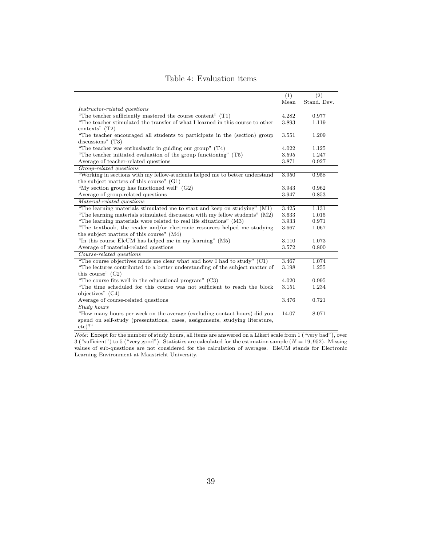|                                                                                                    | (1)   | $\overline{(2)}$ |
|----------------------------------------------------------------------------------------------------|-------|------------------|
|                                                                                                    | Mean  | Stand. Dev.      |
| Instructor-related questions                                                                       |       |                  |
| "The teacher sufficiently mastered the course content" $(T1)$                                      | 4.282 | 0.977            |
| "The teacher stimulated the transfer of what I learned in this course to other<br>contexts" $(T2)$ | 3.893 | 1.119            |
| "The teacher encouraged all students to participate in the (section) group<br>discussions" $(T3)$  | 3.551 | 1.209            |
| "The teacher was enthusiastic in guiding our group" $(T4)$                                         | 4.022 | 1.125            |
| "The teacher initiated evaluation of the group functioning" $(T5)$                                 | 3.595 | 1.247            |
| Average of teacher-related questions                                                               | 3.871 | 0.927            |
| Group-related questions                                                                            |       |                  |
| "Working in sections with my fellow-students helped me to better understand                        | 3.950 | 0.958            |
| the subject matters of this course" $(G1)$                                                         |       |                  |
| "My section group has functioned well" $(G2)$                                                      | 3.943 | 0.962            |
| Average of group-related questions                                                                 | 3.947 | 0.853            |
| Material-related questions                                                                         |       |                  |
| "The learning materials stimulated me to start and keep on studying" (M1)                          | 3.425 | 1.131            |
| "The learning materials stimulated discussion with my fellow students" (M2)                        | 3.633 | 1.015            |
| "The learning materials were related to real life situations" (M3)                                 | 3.933 | 0.971            |
| "The textbook, the reader and/or electronic resources helped me studying                           | 3.667 | 1.067            |
| the subject matters of this course" (M4)                                                           |       |                  |
| "In this course EleUM has helped me in my learning" (M5)                                           | 3.110 | 1.073            |
| Average of material-related questions                                                              | 3.572 | 0.800            |
| Course-related questions                                                                           |       |                  |
| "The course objectives made me clear what and how I had to study" $(C1)$                           | 3.467 | 1.074            |
| "The lectures contributed to a better understanding of the subject matter of                       | 3.198 | 1.255            |
| this course" $(C2)$                                                                                |       |                  |
| "The course fits well in the educational program" $(C3)$                                           | 4.020 | 0.995            |
| "The time scheduled for this course was not sufficient to reach the block                          | 3.151 | 1.234            |
| objectives" $(C4)$                                                                                 |       |                  |
| Average of course-related questions                                                                | 3.476 | 0.721            |
| Study hours                                                                                        |       |                  |
| "How many hours per week on the average (excluding contact hours) did you                          | 14.07 | 8.071            |
| spend on self-study (presentations, cases, assignments, studying literature,                       |       |                  |
| $etc)$ ?"                                                                                          |       |                  |

Table 4: Evaluation items

Note: Except for the number of study hours, all items are answered on a Likert scale from 1 ("very bad"), over 3 ("sufficient") to 5 ("very good"). Statistics are calculated for the estimation sample  $(N = 19, 952)$ . Missing values of sub-questions are not considered for the calculation of averages. EleUM stands for Electronic Learning Environment at Maastricht University.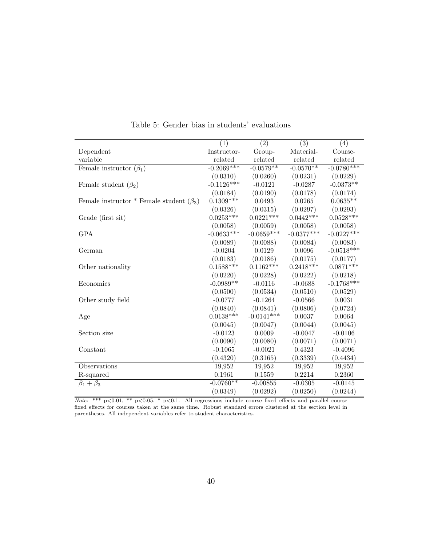|                                                | $\overline{(1)}$ | $\overline{(2)}$ | $\overline{(3)}$ | $\overline{(4)}$ |
|------------------------------------------------|------------------|------------------|------------------|------------------|
| Dependent                                      | Instructor-      | Group-           | Material-        | Course-          |
| variable                                       | related          | related          | related          | related          |
| Female instructor $(\beta_1)$                  | $-0.2069***$     | $-0.0579**$      | $-0.0570**$      | $-0.0780***$     |
|                                                | (0.0310)         | (0.0260)         | (0.0231)         | (0.0229)         |
| Female student $(\beta_2)$                     | $-0.1126***$     | $-0.0121$        | $-0.0287$        | $-0.0373**$      |
|                                                | (0.0184)         | (0.0190)         | (0.0178)         | (0.0174)         |
| Female instructor * Female student $(\beta_3)$ | $0.1309***$      | 0.0493           | 0.0265           | $0.0635**$       |
|                                                | (0.0326)         | (0.0315)         | (0.0297)         | (0.0293)         |
| Grade (first sit)                              | $0.0253***$      | $0.0221***$      | $0.0442***$      | $0.0528***$      |
|                                                | (0.0058)         | (0.0059)         | (0.0058)         | (0.0058)         |
| <b>GPA</b>                                     | $-0.0633***$     | $-0.0659***$     | $-0.0377***$     | $-0.0227***$     |
|                                                | (0.0089)         | (0.0088)         | (0.0084)         | (0.0083)         |
| German                                         | $-0.0204$        | 0.0129           | 0.0096           | $-0.0518***$     |
|                                                | (0.0183)         | (0.0186)         | (0.0175)         | (0.0177)         |
| Other nationality                              | $0.1588***$      | $0.1162***$      | $0.2418***$      | $0.0871***$      |
|                                                | (0.0220)         | (0.0228)         | (0.0222)         | (0.0218)         |
| Economics                                      | $-0.0989**$      | $-0.0116$        | $-0.0688$        | $-0.1768***$     |
|                                                | (0.0500)         | (0.0534)         | (0.0510)         | (0.0529)         |
| Other study field                              | $-0.0777$        | $-0.1264$        | $-0.0566$        | 0.0031           |
|                                                | (0.0840)         | (0.0841)         | (0.0806)         | (0.0724)         |
| Age                                            | $0.0138***$      | $-0.0141***$     | 0.0037           | 0.0064           |
|                                                | (0.0045)         | (0.0047)         | (0.0044)         | (0.0045)         |
| Section size                                   | $-0.0123$        | 0.0009           | $-0.0047$        | $-0.0106$        |
|                                                | (0.0090)         | (0.0080)         | (0.0071)         | (0.0071)         |
| Constant                                       | $-0.1065$        | $-0.0021$        | 0.4323           | $-0.4096$        |
|                                                | (0.4320)         | (0.3165)         | (0.3339)         | (0.4434)         |
| Observations                                   | 19,952           | 19,952           | 19,952           | 19,952           |
| R-squared                                      | 0.1961           | 0.1559           | 0.2214           | 0.2360           |
| $\beta_1+\beta_3$                              | $-0.0760**$      | $-0.00855$       | $-0.0305$        | $-0.0145$        |
|                                                | (0.0349)         | (0.0292)         | (0.0250)         | (0.0244)         |

Table 5: Gender bias in students' evaluations

*Note:* \*\*\*  $p<0.01$ , \*\*  $p<0.05$ , \*  $p<0.1$ . All regressions include course fixed effects and parallel course fixed effects for courses taken at the same time. Robust standard errors clustered at the section level in parentheses. All independent variables refer to student characteristics.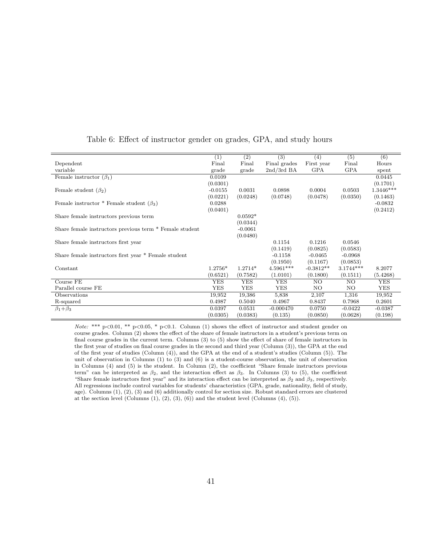|                                                         | (1)        | (2)        | (3)          | (4)         | (5)         | (6)        |
|---------------------------------------------------------|------------|------------|--------------|-------------|-------------|------------|
| Dependent                                               | Final      | Final      | Final grades | First year  | Final       | Hours      |
| variable                                                | grade      | grade      | $2nd/3rd$ BA | <b>GPA</b>  | <b>GPA</b>  | spent      |
| Female instructor $(\beta_1)$                           | 0.0109     |            |              |             |             | 0.0445     |
|                                                         | (0.0301)   |            |              |             |             | (0.1701)   |
| Female student $(\beta_2)$                              | $-0.0155$  | 0.0031     | 0.0898       | 0.0004      | 0.0503      | 1.3446***  |
|                                                         | (0.0221)   | (0.0248)   | (0.0748)     | (0.0478)    | (0.0350)    | (0.1463)   |
| Female instructor * Female student $(\beta_3)$          | 0.0288     |            |              |             |             | $-0.0832$  |
|                                                         | (0.0401)   |            |              |             |             | (0.2412)   |
| Share female instructors previous term                  |            | $0.0592*$  |              |             |             |            |
|                                                         |            | (0.0344)   |              |             |             |            |
| Share female instructors previous term * Female student |            | $-0.0061$  |              |             |             |            |
|                                                         |            | (0.0480)   |              |             |             |            |
| Share female instructors first year                     |            |            | 0.1154       | 0.1216      | 0.0546      |            |
|                                                         |            |            | (0.1419)     | (0.0825)    | (0.0583)    |            |
| Share female instructors first year * Female student    |            |            | $-0.1158$    | $-0.0465$   | $-0.0968$   |            |
|                                                         |            |            | (0.1950)     | (0.1167)    | (0.0853)    |            |
| Constant                                                | $1.2756*$  | $1.2714*$  | $4.5961***$  | $-0.3812**$ | $3.1744***$ | 8.2077     |
|                                                         | (0.6521)   | (0.7582)   | (1.0101)     | (0.1800)    | (0.1511)    | (5.4268)   |
| Course FE                                               | <b>YES</b> | <b>YES</b> | <b>YES</b>   | NO.         | NO.         | <b>YES</b> |
| Parallel course FE                                      | <b>YES</b> | <b>YES</b> | YES          | NO.         | NO.         | <b>YES</b> |
| Observations                                            | 19,952     | 19,386     | 5,838        | 2,107       | 1,316       | 19,952     |
| R-squared                                               | 0.4987     | 0.5040     | 0.4967       | 0.8437      | 0.7968      | 0.2601     |
| $\beta_1 + \beta_3$                                     | 0.0397     | 0.0531     | $-0.000470$  | 0.0750      | $-0.0422$   | $-0.0387$  |
|                                                         | (0.0305)   | (0.0383)   | (0.135)      | (0.0850)    | (0.0628)    | (0.198)    |

#### Table 6: Effect of instructor gender on grades, GPA, and study hours

Note: \*\*\*  $p<0.01$ , \*\*  $p<0.05$ , \*  $p<0.1$ . Column (1) shows the effect of instructor and student gender on course grades. Column (2) shows the effect of the share of female instructors in a student's previous term on final course grades in the current term. Columns (3) to (5) show the effect of share of female instructors in the first year of studies on final course grades in the second and third year (Column (3)), the GPA at the end of the first year of studies (Column (4)), and the GPA at the end of a student's studies (Column (5)). The unit of observation in Columns (1) to (3) and (6) is a student-course observation, the unit of observation in Columns (4) and (5) is the student. In Column (2), the coefficient "Share female instructors previous term" can be interpreted as  $\beta_2$ , and the interaction effect as  $\beta_3$ . In Columns (3) to (5), the coefficient "Share female instructors first year" and its interaction effect can be interpreted as  $\beta_2$  and  $\beta_3$ , respectively. All regressions include control variables for students' characteristics (GPA, grade, nationality, field of study, age). Columns (1), (2), (3) and (6) additionally control for section size. Robust standard errors are clustered at the section level (Columns  $(1), (2), (3), (6)$ ) and the student level (Columns  $(4), (5)$ ).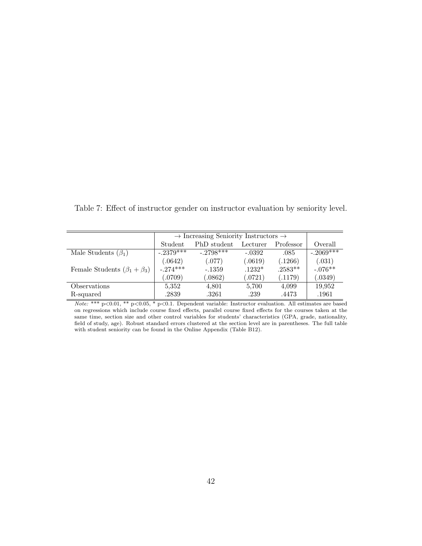Table 7: Effect of instructor gender on instructor evaluation by seniority level.

|                                       |             | $\rightarrow$ Increasing Seniority Instructors $\rightarrow$ |          |           |             |  |  |  |
|---------------------------------------|-------------|--------------------------------------------------------------|----------|-----------|-------------|--|--|--|
|                                       | Student     | PhD student<br>Professor<br>Lecturer                         |          |           |             |  |  |  |
| Male Students $(\beta_1)$             | $-.2379***$ | $-2798***$                                                   | $-.0392$ | .085      | $-.2069***$ |  |  |  |
|                                       | (.0642)     | (.077)                                                       | (.0619)  | (.1266)   | (.031)      |  |  |  |
| Female Students $(\beta_1 + \beta_3)$ | $-.274***$  | $-1359$                                                      | $.1232*$ | $.2583**$ | $-.076**$   |  |  |  |
|                                       | (.0709)     | (.0862)                                                      | (.0721)  | (.1179)   | (.0349)     |  |  |  |
| Observations                          | 5,352       | 4,801                                                        | 5,700    | 4,099     | 19,952      |  |  |  |
| R-squared                             | .2839       | .3261                                                        | .239     | .4473     | .1961       |  |  |  |

Note: \*\*\* p<0.01, \*\* p<0.05, \* p<0.1. Dependent variable: Instructor evaluation. All estimates are based on regressions which include course fixed effects, parallel course fixed effects for the courses taken at the same time, section size and other control variables for students' characteristics (GPA, grade, nationality, field of study, age). Robust standard errors clustered at the section level are in parentheses. The full table with student seniority can be found in the Online Appendix (Table B12).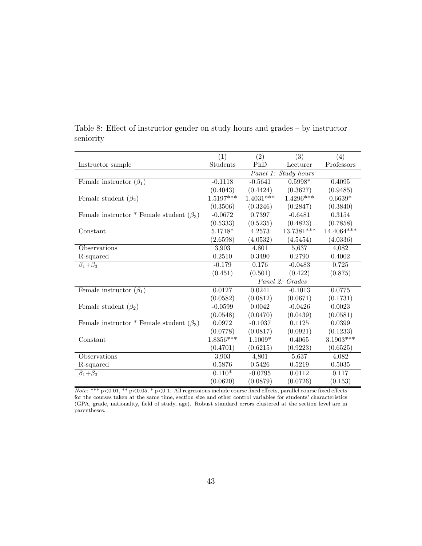|                                                | $\overline{(1)}$ | $\overline{(2)}$ | $\overline{(3)}$        | (4)         |
|------------------------------------------------|------------------|------------------|-------------------------|-------------|
| Instructor sample                              | Students         | PhD              | Lecturer                | Professors  |
|                                                |                  |                  | Panel 1: Study hours    |             |
| Female instructor $(\beta_1)$                  | $-0.1118$        | $-0.5641$        | $0.5998*$               | 0.4095      |
|                                                | (0.4043)         | (0.4424)         | (0.3627)                | (0.9485)    |
| Female student $(\beta_2)$                     | $1.5197***$      | $1.4031***$      | $1.4296^{\ast\ast\ast}$ | $0.6639*$   |
|                                                | (0.3506)         | (0.3246)         | (0.2847)                | (0.3840)    |
| Female instructor * Female student $(\beta_3)$ | $-0.0672$        | 0.7397           | $-0.6481$               | 0.3154      |
|                                                | (0.5333)         | (0.5235)         | (0.4823)                | (0.7858)    |
| Constant                                       | $5.1718*$        | 4.2573           | $13.7381***$            | 14.4064 *** |
|                                                | (2.6598)         | (4.0532)         | (4.5454)                | (4.0336)    |
| Observations                                   | 3,903            | 4,801            | 5,637                   | 4,082       |
| R-squared                                      | 0.2510           | 0.3490           | 0.2790                  | 0.4002      |
| $\beta_1 + \beta_3$                            | $-0.179$         | 0.176            | $-0.0483$               | 0.725       |
|                                                | (0.451)          | (0.501)          | (0.422)                 | (0.875)     |
|                                                |                  |                  | Panel 2: Grades         |             |
| Female instructor $(\beta_1)$                  | 0.0127           | 0.0241           | $-0.1013$               | 0.0775      |
|                                                | (0.0582)         | (0.0812)         | (0.0671)                | (0.1731)    |
| Female student $(\beta_2)$                     | $-0.0599$        | 0.0042           | $-0.0426$               | 0.0023      |
|                                                | (0.0548)         | (0.0470)         | (0.0439)                | (0.0581)    |
| Female instructor * Female student $(\beta_3)$ | 0.0972           | $-0.1037$        | 0.1125                  | 0.0399      |
|                                                | (0.0778)         | (0.0817)         | (0.0921)                | (0.1233)    |
| Constant                                       | $1.8356***$      | $1.1009*$        | 0.4065                  | $3.1903***$ |
|                                                | (0.4701)         | (0.6215)         | (0.9223)                | (0.6525)    |
| Observations                                   | 3,903            | 4,801            | 5,637                   | 4,082       |
| R-squared                                      | 0.5876           | 0.5426           | 0.5219                  | 0.5035      |
| $\beta_1+\beta_3$                              | $0.110*$         | $-0.0795$        | 0.0112                  | 0.117       |
|                                                | (0.0620)         | (0.0879)         | (0.0726)                | (0.153)     |

Table 8: Effect of instructor gender on study hours and grades – by instructor seniority

Note: \*\*\* p<0.01, \*\* p<0.05, \* p<0.1. All regressions include course fixed effects, parallel course fixed effects for the courses taken at the same time, section size and other control variables for students' characteristics (GPA, grade, nationality, field of study, age). Robust standard errors clustered at the section level are in parentheses.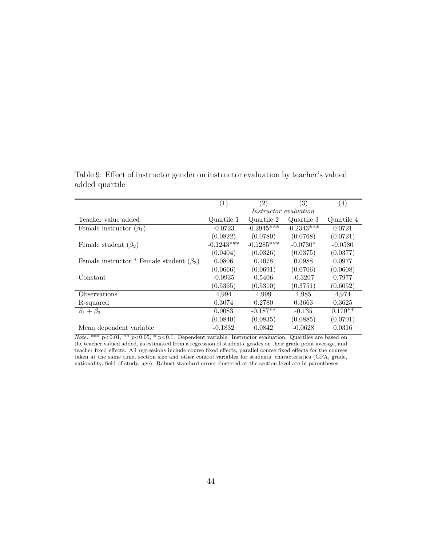Table 9: Effect of instructor gender on instructor evaluation by teacher's valued added quartile

|                                                | (1)          | $\left( 2\right)$ | (3)                          | $\left( 4\right)$ |
|------------------------------------------------|--------------|-------------------|------------------------------|-------------------|
|                                                |              |                   | <i>Instructor evaluation</i> |                   |
| Teacher value added                            | Quartile 1   | Quartile 2        | Quartile 3                   | Quartile 4        |
| Female instructor $(\beta_1)$                  | $-0.0723$    | $-0.2945***$      | $-0.2343***$                 | 0.0721            |
|                                                | (0.0822)     | (0.0780)          | (0.0768)                     | (0.0721)          |
| Female student $(\beta_2)$                     | $-0.1243***$ | $-0.1285***$      | $-0.0730*$                   | $-0.0580$         |
|                                                | (0.0404)     | (0.0326)          | (0.0375)                     | (0.0377)          |
| Female instructor * Female student $(\beta_3)$ | 0.0806       | 0.1078            | 0.0988                       | 0.0977            |
|                                                | (0.0666)     | (0.0691)          | (0.0706)                     | (0.0608)          |
| Constant                                       | $-0.0935$    | 0.5406            | $-0.3207$                    | 0.7977            |
|                                                | (0.5365)     | (0.5310)          | (0.3751)                     | (0.6052)          |
| Observations                                   | 4.994        | 4,999             | 4,985                        | 4,974             |
| R-squared                                      | 0.3074       | 0.2780            | 0.3663                       | 0.3625            |
| $\beta_1 + \beta_3$                            | 0.0083       | $-0.187**$        | $-0.135$                     | $0.170**$         |
|                                                | (0.0840)     | (0.0835)          | (0.0885)                     | (0.0701)          |
| Mean dependent variable                        | $-0.1832$    | 0.0842            | $-0.0628$                    | 0.0316            |

Note: \*\*\*  $p<0.01$ , \*\*  $p<0.05$ , \*  $p<0.1$ . Dependent variable: Instructor evaluation. Quartiles are based on the teacher valued added, as estimated from a regression of students' grades on their grade point average, and teacher fixed effects. All regressions include course fixed effects, parallel course fixed effects for the courses taken at the same time, section size and other control variables for students' characteristics (GPA, grade, nationality, field of study, age). Robust standard errors clustered at the section level are in parentheses.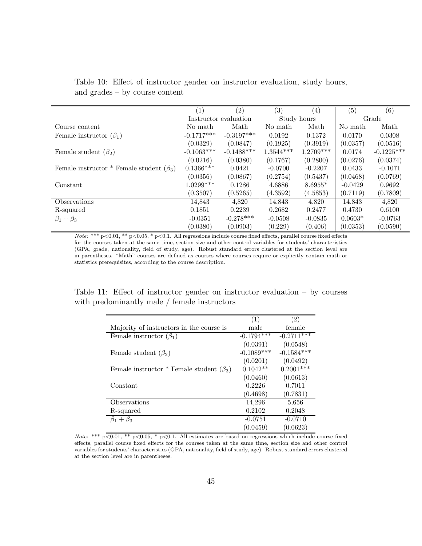|                                                | (1)          | $\left( 2\right)$     | (3)         | $\left( 4\right)$ | (5)       | (6)          |
|------------------------------------------------|--------------|-----------------------|-------------|-------------------|-----------|--------------|
|                                                |              | Instructor evaluation |             | Study hours       |           | Grade        |
| Course content                                 | No math      | Math                  | No math     | Math              | No math   | Math         |
| Female instructor $(\beta_1)$                  | $-0.1717***$ | $-0.3197***$          | 0.0192      | 0.1372            | 0.0170    | 0.0308       |
|                                                | (0.0329)     | (0.0847)              | (0.1925)    | (0.3919)          | (0.0357)  | (0.0516)     |
| Female student $(\beta_2)$                     | $-0.1063***$ | $-0.1488***$          | $1.3544***$ | $1.2709***$       | 0.0174    | $-0.1225***$ |
|                                                | (0.0216)     | (0.0380)              | (0.1767)    | (0.2800)          | (0.0276)  | (0.0374)     |
| Female instructor * Female student $(\beta_3)$ | $0.1366***$  | 0.0421                | $-0.0700$   | $-0.2207$         | 0.0433    | $-0.1071$    |
|                                                | (0.0356)     | (0.0867)              | (0.2754)    | (0.5437)          | (0.0468)  | (0.0769)     |
| Constant                                       | $1.0299***$  | 0.1286                | 4.6886      | $8.6955*$         | $-0.0429$ | 0.9692       |
|                                                | (0.3507)     | (0.5265)              | (4.3592)    | (4.5853)          | (0.7119)  | (0.7809)     |
| Observations                                   | 14,843       | 4,820                 | 14,843      | 4,820             | 14,843    | 4,820        |
| R-squared                                      | 0.1851       | 0.2239                | 0.2682      | 0.2477            | 0.4730    | 0.6100       |
| $\beta_1+\beta_3$                              | $-0.0351$    | $-0.278***$           | $-0.0508$   | $-0.0835$         | $0.0603*$ | $-0.0763$    |
|                                                | (0.0380)     | (0.0903)              | (0.229)     | (0.406)           | (0.0353)  | (0.0590)     |

Table 10: Effect of instructor gender on instructor evaluation, study hours, and grades – by course content

Note: \*\*\* p<0.01, \*\* p<0.05, \* p<0.1. All regressions include course fixed effects, parallel course fixed effects for the courses taken at the same time, section size and other control variables for students' characteristics (GPA, grade, nationality, field of study, age). Robust standard errors clustered at the section level are in parentheses. "Math" courses are defined as courses where courses require or explicitly contain math or statistics prerequisites, according to the course description.

Table 11: Effect of instructor gender on instructor evaluation – by courses with predominantly male / female instructors

|                                                | (1)          | (2)          |
|------------------------------------------------|--------------|--------------|
| Majority of instructors in the course is       | male         | female       |
| Female instructor $(\beta_1)$                  | $-0.1794***$ | $-0.2711***$ |
|                                                | (0.0391)     | (0.0548)     |
| Female student $(\beta_2)$                     | $-0.1089***$ | $-0.1584***$ |
|                                                | (0.0201)     | (0.0492)     |
| Female instructor * Female student $(\beta_3)$ | $0.1042**$   | $0.2001***$  |
|                                                | (0.0460)     | (0.0613)     |
| Constant                                       | 0.2226       | 0.7011       |
|                                                | (0.4698)     | (0.7831)     |
| Observations                                   | 14,296       | 5,656        |
| R-squared                                      | 0.2102       | 0.2048       |
| $\beta_1 + \beta_3$                            | $-0.0751$    | $-0.0710$    |
|                                                | (0.0459)     | (0.0623)     |

Note: \*\*\*  $p\overline{<0.01,$  \*\*  $p<0.05,$  \*  $p<0.1$ . All estimates are based on regressions which include course fixed effects, parallel course fixed effects for the courses taken at the same time, section size and other control variables for students' characteristics (GPA, nationality, field of study, age). Robust standard errors clustered at the section level are in parentheses.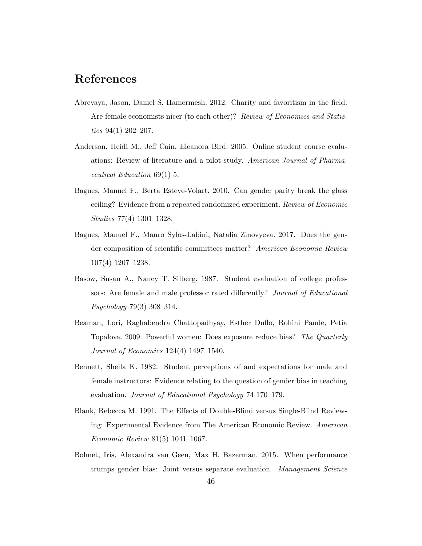## References

- Abrevaya, Jason, Daniel S. Hamermesh. 2012. Charity and favoritism in the field: Are female economists nicer (to each other)? Review of Economics and Statistics  $94(1)$  202-207.
- Anderson, Heidi M., Jeff Cain, Eleanora Bird. 2005. Online student course evaluations: Review of literature and a pilot study. American Journal of Pharmaceutical Education 69(1) 5.
- Bagues, Manuel F., Berta Esteve-Volart. 2010. Can gender parity break the glass ceiling? Evidence from a repeated randomized experiment. Review of Economic Studies 77(4) 1301–1328.
- Bagues, Manuel F., Mauro Sylos-Labini, Natalia Zinovyeva. 2017. Does the gender composition of scientific committees matter? American Economic Review 107(4) 1207–1238.
- Basow, Susan A., Nancy T. Silberg. 1987. Student evaluation of college professors: Are female and male professor rated differently? Journal of Educational Psychology 79(3) 308–314.
- Beaman, Lori, Raghabendra Chattopadhyay, Esther Duflo, Rohini Pande, Petia Topalova. 2009. Powerful women: Does exposure reduce bias? The Quarterly Journal of Economics 124(4) 1497–1540.
- Bennett, Sheila K. 1982. Student perceptions of and expectations for male and female instructors: Evidence relating to the question of gender bias in teaching evaluation. Journal of Educational Psychology 74 170–179.
- Blank, Rebecca M. 1991. The Effects of Double-Blind versus Single-Blind Reviewing: Experimental Evidence from The American Economic Review. American Economic Review 81(5) 1041–1067.
- Bohnet, Iris, Alexandra van Geen, Max H. Bazerman. 2015. When performance trumps gender bias: Joint versus separate evaluation. Management Science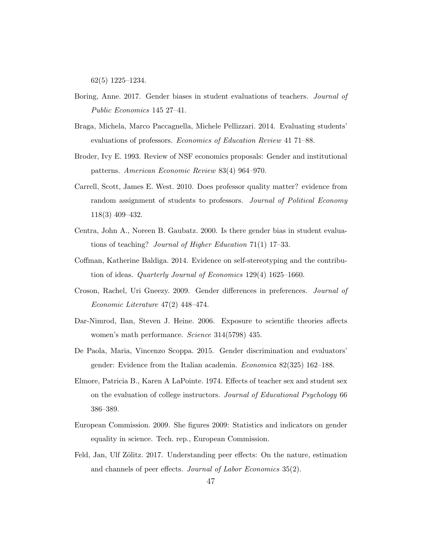62(5) 1225–1234.

- Boring, Anne. 2017. Gender biases in student evaluations of teachers. Journal of Public Economics 145 27–41.
- Braga, Michela, Marco Paccagnella, Michele Pellizzari. 2014. Evaluating students' evaluations of professors. Economics of Education Review 41 71–88.
- Broder, Ivy E. 1993. Review of NSF economics proposals: Gender and institutional patterns. American Economic Review 83(4) 964–970.
- Carrell, Scott, James E. West. 2010. Does professor quality matter? evidence from random assignment of students to professors. Journal of Political Economy 118(3) 409–432.
- Centra, John A., Noreen B. Gaubatz. 2000. Is there gender bias in student evaluations of teaching? Journal of Higher Education 71(1) 17–33.
- Coffman, Katherine Baldiga. 2014. Evidence on self-stereotyping and the contribution of ideas. Quarterly Journal of Economics 129(4) 1625–1660.
- Croson, Rachel, Uri Gneezy. 2009. Gender differences in preferences. Journal of Economic Literature 47(2) 448–474.
- Dar-Nimrod, Ilan, Steven J. Heine. 2006. Exposure to scientific theories affects women's math performance. Science 314(5798) 435.
- De Paola, Maria, Vincenzo Scoppa. 2015. Gender discrimination and evaluators' gender: Evidence from the Italian academia. Economica 82(325) 162–188.
- Elmore, Patricia B., Karen A LaPointe. 1974. Effects of teacher sex and student sex on the evaluation of college instructors. Journal of Educational Psychology 66 386–389.
- European Commission. 2009. She figures 2009: Statistics and indicators on gender equality in science. Tech. rep., European Commission.
- Feld, Jan, Ulf Zölitz. 2017. Understanding peer effects: On the nature, estimation and channels of peer effects. Journal of Labor Economics 35(2).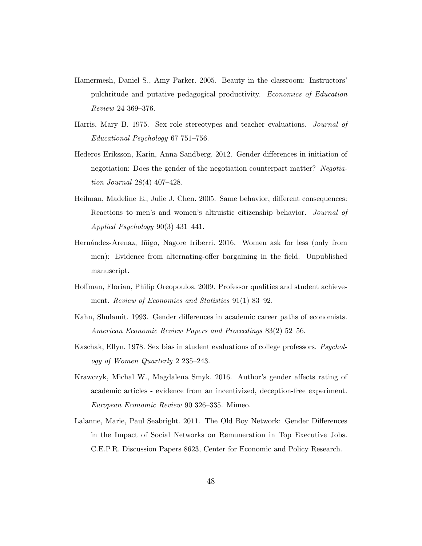- Hamermesh, Daniel S., Amy Parker. 2005. Beauty in the classroom: Instructors' pulchritude and putative pedagogical productivity. Economics of Education Review 24 369–376.
- Harris, Mary B. 1975. Sex role stereotypes and teacher evaluations. Journal of Educational Psychology 67 751–756.
- Hederos Eriksson, Karin, Anna Sandberg. 2012. Gender differences in initiation of negotiation: Does the gender of the negotiation counterpart matter? Negotiation Journal 28(4) 407–428.
- Heilman, Madeline E., Julie J. Chen. 2005. Same behavior, different consequences: Reactions to men's and women's altruistic citizenship behavior. Journal of Applied Psychology 90(3) 431–441.
- Hernández-Arenaz, Iñigo, Nagore Iriberri. 2016. Women ask for less (only from men): Evidence from alternating-offer bargaining in the field. Unpublished manuscript.
- Hoffman, Florian, Philip Oreopoulos. 2009. Professor qualities and student achievement. Review of Economics and Statistics 91(1) 83–92.
- Kahn, Shulamit. 1993. Gender differences in academic career paths of economists. American Economic Review Papers and Proceedings 83(2) 52–56.
- Kaschak, Ellyn. 1978. Sex bias in student evaluations of college professors. *Psychol*ogy of Women Quarterly 2 235–243.
- Krawczyk, Michal W., Magdalena Smyk. 2016. Author's gender affects rating of academic articles - evidence from an incentivized, deception-free experiment. European Economic Review 90 326–335. Mimeo.
- Lalanne, Marie, Paul Seabright. 2011. The Old Boy Network: Gender Differences in the Impact of Social Networks on Remuneration in Top Executive Jobs. C.E.P.R. Discussion Papers 8623, Center for Economic and Policy Research.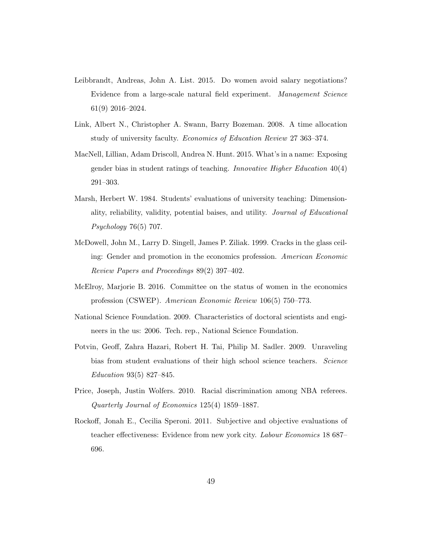- Leibbrandt, Andreas, John A. List. 2015. Do women avoid salary negotiations? Evidence from a large-scale natural field experiment. Management Science 61(9) 2016–2024.
- Link, Albert N., Christopher A. Swann, Barry Bozeman. 2008. A time allocation study of university faculty. Economics of Education Review 27 363–374.
- MacNell, Lillian, Adam Driscoll, Andrea N. Hunt. 2015. What's in a name: Exposing gender bias in student ratings of teaching. Innovative Higher Education 40(4) 291–303.
- Marsh, Herbert W. 1984. Students' evaluations of university teaching: Dimensionality, reliability, validity, potential baises, and utility. Journal of Educational Psychology 76(5) 707.
- McDowell, John M., Larry D. Singell, James P. Ziliak. 1999. Cracks in the glass ceiling: Gender and promotion in the economics profession. American Economic Review Papers and Proceedings 89(2) 397–402.
- McElroy, Marjorie B. 2016. Committee on the status of women in the economics profession (CSWEP). American Economic Review 106(5) 750–773.
- National Science Foundation. 2009. Characteristics of doctoral scientists and engineers in the us: 2006. Tech. rep., National Science Foundation.
- Potvin, Geoff, Zahra Hazari, Robert H. Tai, Philip M. Sadler. 2009. Unraveling bias from student evaluations of their high school science teachers. Science Education 93(5) 827–845.
- Price, Joseph, Justin Wolfers. 2010. Racial discrimination among NBA referees. Quarterly Journal of Economics 125(4) 1859–1887.
- Rockoff, Jonah E., Cecilia Speroni. 2011. Subjective and objective evaluations of teacher effectiveness: Evidence from new york city. Labour Economics 18 687– 696.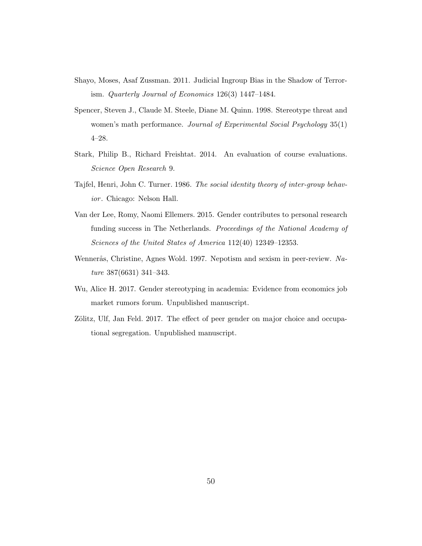- Shayo, Moses, Asaf Zussman. 2011. Judicial Ingroup Bias in the Shadow of Terrorism. Quarterly Journal of Economics 126(3) 1447–1484.
- Spencer, Steven J., Claude M. Steele, Diane M. Quinn. 1998. Stereotype threat and women's math performance. Journal of Experimental Social Psychology 35(1) 4–28.
- Stark, Philip B., Richard Freishtat. 2014. An evaluation of course evaluations. Science Open Research 9.
- Tajfel, Henri, John C. Turner. 1986. The social identity theory of inter-group behavior. Chicago: Nelson Hall.
- Van der Lee, Romy, Naomi Ellemers. 2015. Gender contributes to personal research funding success in The Netherlands. Proceedings of the National Academy of Sciences of the United States of America 112(40) 12349–12353.
- Wennerås, Christine, Agnes Wold. 1997. Nepotism and sexism in peer-review. Nature 387(6631) 341–343.
- Wu, Alice H. 2017. Gender stereotyping in academia: Evidence from economics job market rumors forum. Unpublished manuscript.
- Zölitz, Ulf, Jan Feld. 2017. The effect of peer gender on major choice and occupational segregation. Unpublished manuscript.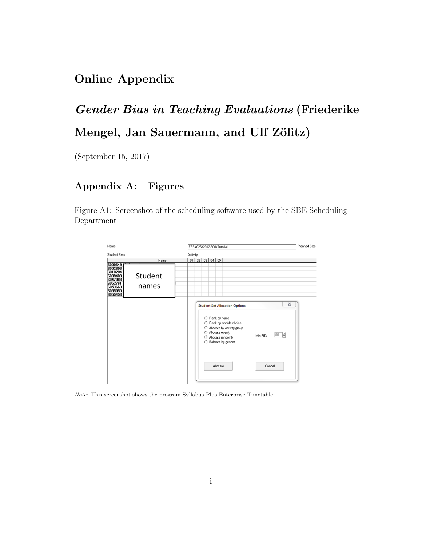## Online Appendix

# Gender Bias in Teaching Evaluations (Friederike Mengel, Jan Sauermann, and Ulf Zölitz)

(September 15, 2017)

## Appendix A: Figures

Figure A1: Screenshot of the scheduling software used by the SBE Scheduling Department



 $\emph{Note:}$  This screenshot shows the program Syllabus Plus Enterprise Timetable.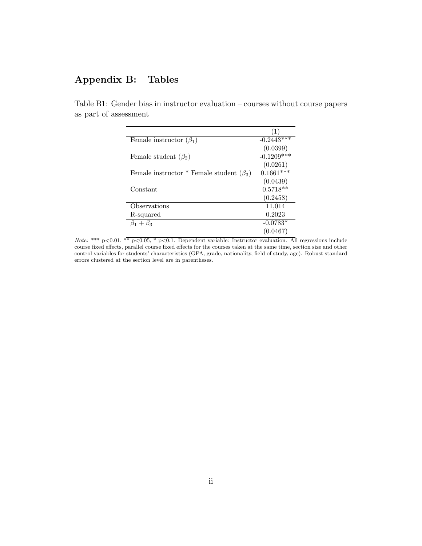## Appendix B: Tables

| Female instructor $(\beta_1)$                  | $-0.2443***$ |
|------------------------------------------------|--------------|
|                                                | (0.0399)     |
| Female student $(\beta_2)$                     | $-0.1209***$ |
|                                                | (0.0261)     |
| Female instructor * Female student $(\beta_3)$ | $0.1661***$  |
|                                                | (0.0439)     |
| Constant                                       | $0.5718**$   |
|                                                | (0.2458)     |
| Observations                                   | 11,014       |
| R-squared                                      | 0.2023       |
| $\beta_1+\beta_3$                              | $-0.0783*$   |
|                                                | (0.0467)     |

Table B1: Gender bias in instructor evaluation – courses without course papers as part of assessment

*Note:* \*\*\*  $p<0.01$ , \*\*  $p<0.05$ , \*  $p<0.1$ . Dependent variable: Instructor evaluation. All regressions include course fixed effects, parallel course fixed effects for the courses taken at the same time, section size and other control variables for students' characteristics (GPA, grade, nationality, field of study, age). Robust standard errors clustered at the section level are in parentheses.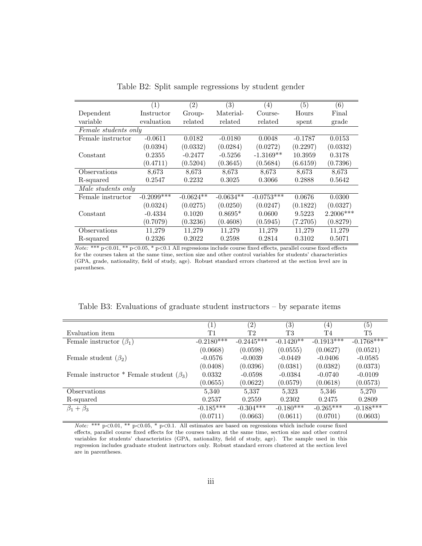|                      | (1)          | $\left( 2\right)$ | (3)         | (4)          | (5)       | (6)       |
|----------------------|--------------|-------------------|-------------|--------------|-----------|-----------|
| Dependent            | Instructor   | Group-            | Material-   | Course-      | Hours     | Final     |
| variable             | evaluation   | related           | related     | related      | spent     | grade     |
| Female students only |              |                   |             |              |           |           |
| Female instructor    | $-0.0611$    | 0.0182            | $-0.0180$   | 0.0048       | $-0.1787$ | 0.0153    |
|                      | (0.0394)     | (0.0332)          | (0.0284)    | (0.0272)     | (0.2297)  | (0.0332)  |
| Constant             | 0.2355       | $-0.2477$         | $-0.5256$   | $-1.3169**$  | 10.3959   | 0.3178    |
|                      | (0.4711)     | (0.5204)          | (0.3645)    | (0.5684)     | (6.6159)  | (0.7396)  |
| Observations         | 8,673        | 8,673             | 8,673       | 8,673        | 8,673     | 8,673     |
| R-squared            | 0.2547       | 0.2232            | 0.3025      | 0.3066       | 0.2888    | 0.5642    |
| Male students only   |              |                   |             |              |           |           |
| Female instructor    | $-0.2099***$ | $-0.0624**$       | $-0.0634**$ | $-0.0753***$ | 0.0676    | 0.0300    |
|                      | (0.0324)     | (0.0275)          | (0.0250)    | (0.0247)     | (0.1822)  | (0.0327)  |
| Constant             | $-0.4334$    | 0.1020            | $0.8695*$   | 0.0600       | 9.5223    | 2.2006*** |
|                      | (0.7079)     | (0.3236)          | (0.4608)    | (0.5945)     | (7.2705)  | (0.8279)  |
| Observations         | 11,279       | 11,279            | 11,279      | 11,279       | 11,279    | 11,279    |
| R-squared            | 0.2326       | 0.2022            | 0.2598      | 0.2814       | 0.3102    | 0.5071    |

Table B2: Split sample regressions by student gender

Note: \*\*\*  $p<0.01$ , \*\*  $p<0.05$ , \*  $p<0.1$  All regressions include course fixed effects, parallel course fixed effects for the courses taken at the same time, section size and other control variables for students' characteristics (GPA, grade, nationality, field of study, age). Robust standard errors clustered at the section level are in parentheses.

|  |  |  |  |  |  | Table B3: Evaluations of graduate student instructors $-$ by separate items |  |  |  |
|--|--|--|--|--|--|-----------------------------------------------------------------------------|--|--|--|
|--|--|--|--|--|--|-----------------------------------------------------------------------------|--|--|--|

|                                                | $\left(1\right)$ | (2)          | $\left( 3\right)$ | (4)          | $\left( 5\right)$ |
|------------------------------------------------|------------------|--------------|-------------------|--------------|-------------------|
| Evaluation item                                | T1               | T2           | T <sub>3</sub>    | T4           | T5                |
| Female instructor $(\beta_1)$                  | $-0.2180$ ***    | $-0.2445***$ | $-0.1420**$       | $-0.1913***$ | $-0.1768***$      |
|                                                | (0.0668)         | (0.0598)     | (0.0555)          | (0.0627)     | (0.0521)          |
| Female student $(\beta_2)$                     | $-0.0576$        | $-0.0039$    | $-0.0449$         | $-0.0406$    | $-0.0585$         |
|                                                | (0.0408)         | (0.0396)     | (0.0381)          | (0.0382)     | (0.0373)          |
| Female instructor * Female student $(\beta_3)$ | 0.0332           | $-0.0598$    | $-0.0384$         | $-0.0740$    | $-0.0109$         |
|                                                | (0.0655)         | (0.0622)     | (0.0579)          | (0.0618)     | (0.0573)          |
| Observations                                   | 5,340            | 5.337        | 5,323             | 5,346        | 5,270             |
| R-squared                                      | 0.2537           | 0.2559       | 0.2302            | 0.2475       | 0.2809            |
| $\beta_1 + \beta_3$                            | $-0.185***$      | $-0.304***$  | $-0.180***$       | $-0.265***$  | $-0.188***$       |
|                                                | (0.0711)         | (0.0663)     | (0.0611)          | (0.0701)     | (0.0603)          |

Note: \*\*\*  $p<0.01$ , \*\*  $p<0.05$ , \*  $p<0.1$ . All estimates are based on regressions which include course fixed effects, parallel course fixed effects for the courses taken at the same time, section size and other control variables for students' characteristics (GPA, nationality, field of study, age). The sample used in this regression includes graduate student instructors only. Robust standard errors clustered at the section level are in parentheses.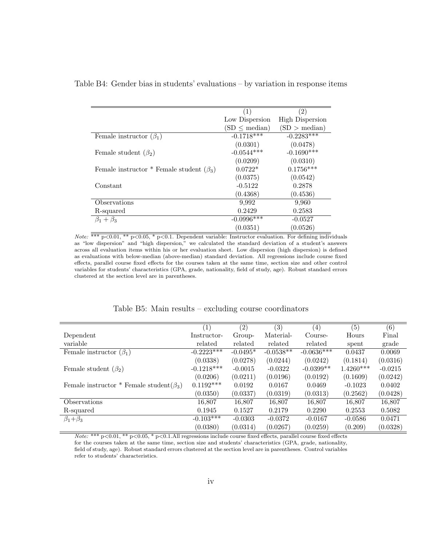#### Table B4: Gender bias in students' evaluations – by variation in response items

|                                                | (1)                | $\left( 2\right)$      |
|------------------------------------------------|--------------------|------------------------|
|                                                | Low Dispersion     | <b>High Dispersion</b> |
|                                                | $(SD \leq median)$ | (SD > median)          |
| Female instructor $(\beta_1)$                  | $-0.1718***$       | $-0.2283***$           |
|                                                | (0.0301)           | (0.0478)               |
| Female student $(\beta_2)$                     | $-0.0544***$       | $-0.1690***$           |
|                                                | (0.0209)           | (0.0310)               |
| Female instructor * Female student $(\beta_3)$ | $0.0722*$          | $0.1756***$            |
|                                                | (0.0375)           | (0.0542)               |
| Constant                                       | $-0.5122$          | 0.2878                 |
|                                                | (0.4368)           | (0.4536)               |
| Observations                                   | 9.992              | 9,960                  |
| R-squared                                      | 0.2429             | 0.2583                 |
| $\beta_1+\beta_3$                              | $-0.0996***$       | $-0.0527$              |
|                                                | (0.0351)           | (0.0526)               |

*Note:* \*\*\*  $p < 0.01$ , \*\*  $p < 0.05$ , \*  $p < 0.1$ . Dependent variable: Instructor evaluation. For defining individuals as "low dispersion" and "high dispersion," we calculated the standard deviation of a student's answers across all evaluation items within his or her evaluation sheet. Low dispersion (high dispersion) is defined as evaluations with below-median (above-median) standard deviation. All regressions include course fixed effects, parallel course fixed effects for the courses taken at the same time, section size and other control variables for students' characteristics (GPA, grade, nationality, field of study, age). Robust standard errors clustered at the section level are in parentheses.

#### Table B5: Main results – excluding course coordinators

|                                                | (1)          | $\overline{(2)}$ | $\overline{(3)}$ | $\left( 4\right)$ | $\overline{(5)}$ | $\overline{(6)}$ |
|------------------------------------------------|--------------|------------------|------------------|-------------------|------------------|------------------|
| Dependent                                      | Instructor-  | Group-           | Material-        | Course-           | Hours            | Final            |
| variable                                       | related      | related          | related          | related           | spent            | grade            |
| Female instructor $(\beta_1)$                  | $-0.2223***$ | $-0.0495*$       | $-0.0538**$      | $-0.0636***$      | 0.0437           | 0.0069           |
|                                                | (0.0338)     | (0.0278)         | (0.0244)         | (0.0242)          | (0.1814)         | (0.0316)         |
| Female student $(\beta_2)$                     | $-0.1218***$ | $-0.0015$        | $-0.0322$        | $-0.0399**$       | $1.4260***$      | $-0.0215$        |
|                                                | (0.0206)     | (0.0211)         | (0.0196)         | (0.0192)          | (0.1609)         | (0.0242)         |
| Female instructor * Female student $(\beta_3)$ | $0.1192***$  | 0.0192           | 0.0167           | 0.0469            | $-0.1023$        | 0.0402           |
|                                                | (0.0350)     | (0.0337)         | (0.0319)         | (0.0313)          | (0.2562)         | (0.0428)         |
| <b>Observations</b>                            | 16,807       | 16,807           | 16,807           | 16,807            | 16,807           | 16,807           |
| R-squared                                      | 0.1945       | 0.1527           | 0.2179           | 0.2290            | 0.2553           | 0.5082           |
| $\beta_1 + \beta_3$                            | $-0.103***$  | $-0.0303$        | $-0.0372$        | $-0.0167$         | $-0.0586$        | 0.0471           |
|                                                | (0.0380)     | (0.0314)         | (0.0267)         | (0.0259)          | (0.209)          | (0.0328)         |

Note: \*\*\* p<0.01, \*\* p<0.05, \* p<0.1.All regressions include course fixed effects, parallel course fixed effects for the courses taken at the same time, section size and students' characteristics (GPA, grade, nationality, field of study, age). Robust standard errors clustered at the section level are in parentheses. Control variables refer to students' characteristics.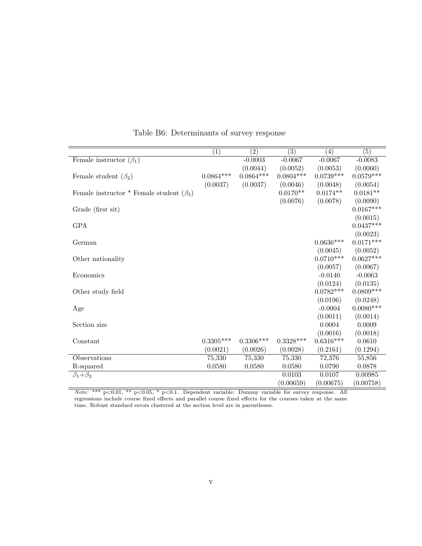|                                                | $\overline{(1)}$ | $\overline{(2)}$ | $\overline{(3)}$        | (4)         | $\overline{(5)}$ |
|------------------------------------------------|------------------|------------------|-------------------------|-------------|------------------|
| Female instructor $(\beta_1)$                  |                  | $-0.0003$        | $-0.0067$               | $-0.0067$   | $-0.0083$        |
|                                                |                  | (0.0044)         | (0.0052)                | (0.0053)    | (0.0060)         |
| Female student $(\beta_2)$                     | $0.0864***$      | $0.0864***$      | $0.0804***$             | $0.0739***$ | $0.0579***$      |
|                                                | (0.0037)         | (0.0037)         | (0.0046)                | (0.0048)    | (0.0054)         |
| Female instructor * Female student $(\beta_3)$ |                  |                  | $0.0170**$              | $0.0174**$  | $0.0181**$       |
|                                                |                  |                  | (0.0076)                | (0.0078)    | (0.0090)         |
| Grade (first sit)                              |                  |                  |                         |             | $0.0167***$      |
|                                                |                  |                  |                         |             | (0.0015)         |
| <b>GPA</b>                                     |                  |                  |                         |             | $0.0437***$      |
|                                                |                  |                  |                         |             | (0.0023)         |
| German                                         |                  |                  |                         | $0.0636***$ | $0.0171***$      |
|                                                |                  |                  |                         | (0.0045)    | (0.0052)         |
| Other nationality                              |                  |                  |                         | $0.0710***$ | $0.0627***$      |
|                                                |                  |                  |                         | (0.0057)    | (0.0067)         |
| Economics                                      |                  |                  |                         | $-0.0140$   | $-0.0063$        |
|                                                |                  |                  |                         | (0.0124)    | (0.0135)         |
| Other study field                              |                  |                  |                         | $0.0782***$ | $0.0809***$      |
|                                                |                  |                  |                         | (0.0196)    | (0.0248)         |
| Age                                            |                  |                  |                         | $-0.0004$   | $0.0080***$      |
|                                                |                  |                  |                         | (0.0011)    | (0.0014)         |
| Section size                                   |                  |                  |                         | 0.0004      | 0.0009           |
|                                                |                  |                  |                         | (0.0016)    | (0.0018)         |
| Constant                                       | $0.3305***$      | $0.3306***$      | $0.3328^{\ast\ast\ast}$ | $0.6316***$ | 0.0610           |
|                                                | (0.0021)         | (0.0026)         | (0.0028)                | (0.2161)    | (0.1294)         |
| Observations                                   | 75,330           | 75,330           | 75,330                  | 72,376      | 55,856           |
| R-squared                                      | 0.0580           | 0.0580           | 0.0580                  | 0.0790      | 0.0878           |
| $\beta_1 + \beta_3$                            |                  |                  | 0.0103                  | 0.0107      | 0.00985          |
|                                                |                  |                  | (0.00659)               | (0.00675)   | (0.00758)        |

Table B6: Determinants of survey response

Note: \*\*\* p<0.01, \*\* p<0.05, \* p<0.1. Dependent variable: Dummy variable for survey response. All regressions include course fixed effects and parallel course fixed effects for the courses taken at the same time. Robust standard errors clustered at the section level are in parentheses.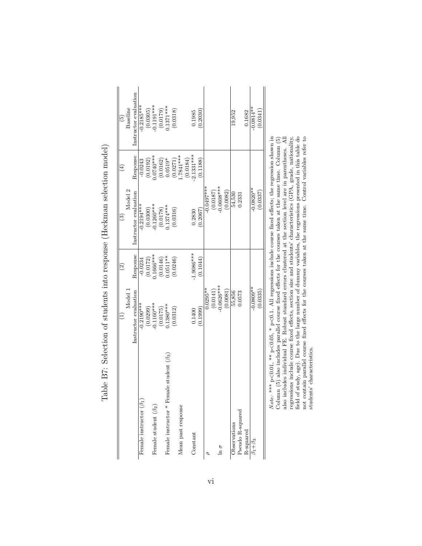|                                                |                                                                                                                | $\widehat{\mathfrak{D}}$ | ි                     | $\widehat{\Xi}$         | ව                        |
|------------------------------------------------|----------------------------------------------------------------------------------------------------------------|--------------------------|-----------------------|-------------------------|--------------------------|
|                                                | Model 1                                                                                                        |                          | Model <sub>2</sub>    |                         | Baseline                 |
|                                                | Instructor evaluation                                                                                          | Response                 | Instructor evaluation | Response                | Instructor evaluation    |
| Female instructor $(\beta_1)$                  | $-0.2190***$                                                                                                   | $-0.0234$                | $-0.2194***$          | $-0.0243$               | $-0.2185***$             |
|                                                | (0.0299)                                                                                                       | (0.0172)                 | (0.0300)              | (0.0192)                |                          |
| Female student $(\beta_2)$                     | $-0.1160***$                                                                                                   | $0.1666***$              | $-0.1260***$          | $****0.0740$            | $(0.0305)$<br>-0.1191*** |
|                                                | (0.0175)                                                                                                       | (0.0146)                 | (0.0178)              |                         |                          |
| Female instructor * Female student $(\beta_3)$ | $0.1380***$                                                                                                    | $0.0511**$               | $.1374***$            | $(0.0162)$<br>$0.0519*$ | $(0.0179)$<br>0.1371***  |
|                                                | (0.0312)                                                                                                       | (0.0246)                 | (0.0316)              | (0.0271)                | (0.0318)                 |
| Mean past response                             |                                                                                                                |                          |                       | $.7841***$              |                          |
|                                                |                                                                                                                |                          |                       | (0.0184)                |                          |
| Constant                                       | 0.1400                                                                                                         | $-1.9086***$             | 0.2830                | $2.1331***$             | 0.1985                   |
|                                                | (6.1999)                                                                                                       | (0.1044)                 | 0.2067                | (0.1188)                | 0.2030                   |
|                                                | $0.0295***$                                                                                                    |                          | $0.0497***$           |                         |                          |
|                                                | (0.0141)                                                                                                       |                          | (0.0187)              |                         |                          |
| $\ln \sigma$                                   | $-0.0626***$                                                                                                   |                          | $-0.0608***$          |                         |                          |
|                                                | (0.0081)                                                                                                       |                          | (0.0082)              |                         |                          |
| Observations                                   | 55,856                                                                                                         |                          | 54,530                |                         | 19,952                   |
| Pseudo R-squared                               | 0.0573                                                                                                         |                          | 0.2331                |                         |                          |
| R-squared                                      |                                                                                                                |                          |                       |                         | 0.1682                   |
| $\beta_1 + \beta_3$                            | $-0.0809**$                                                                                                    |                          | $-0.0820**$           |                         | $-0.0814**$              |
|                                                | (0.0335)                                                                                                       |                          | (0.0337)              |                         | (0.0341)                 |
| Note:                                          | *** $p<0.01$ , ** $p<0.05$ , * $p<0.1$ . All regressions include course fixed effects; the regression shown in |                          |                       |                         |                          |

Table B7: Selection of students into response (Heckman selection model) Table B7: Selection of students into response (Heckman selection model)  $Note: **p \leq 0.01$ ,  $*$  p.  $(0.05, * \text{ p}$ <0.1. All regressions include course fixed effects; the regression shown in Column (5) also includes parallel course fixed effects for the courses taken at the same time. Column (5) also includes individual FE. Robust standard errors clustered at the section level are in parentheses. All regressions include course fixed effects, section size and students' characteristics (GPA, grade, nationality, field of study, age). Due to the large number of dummy variables, the regressions presented in this table do not contain parallel course fixed effects for the courses taken at the same time. Control variables refer to students' characteristics.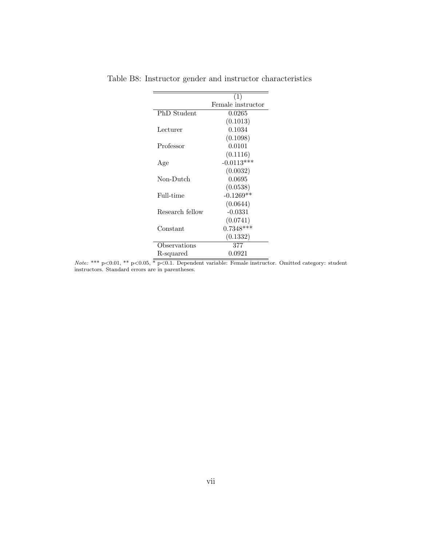|                 | (1)               |
|-----------------|-------------------|
|                 | Female instructor |
| PhD Student     | 0.0265            |
|                 | (0.1013)          |
| Lecturer        | 0.1034            |
|                 | (0.1098)          |
| Professor       | 0.0101            |
|                 | (0.1116)          |
| Age             | $-0.0113***$      |
|                 | (0.0032)          |
| Non-Dutch       | 0.0695            |
|                 | (0.0538)          |
| Full-time       | $-0.1269**$       |
|                 | (0.0644)          |
| Research fellow | $-0.0331$         |
|                 | (0.0741)          |
| Constant        | $0.7348***$       |
|                 | (0.1332)          |
| Observations    | 377               |
| R-squared       | 0.0921            |

Table B8: Instructor gender and instructor characteristics

Note: \*\*\* p<0.01, \*\* p<0.05, \* p<0.1. Dependent variable: Female instructor. Omitted category: student instructors. Standard errors are in parentheses.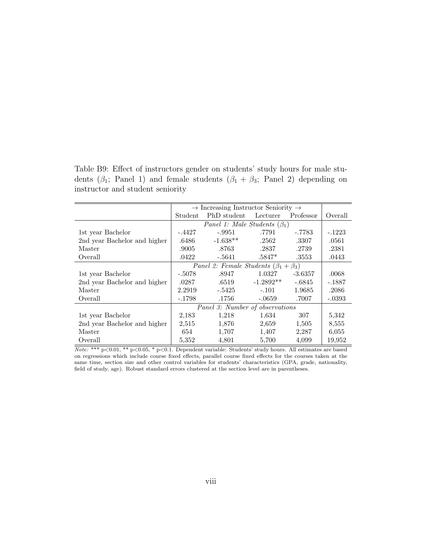Table B9: Effect of instructors gender on students' study hours for male students ( $\beta_1$ ; Panel 1) and female students ( $\beta_1 + \beta_3$ ; Panel 2) depending on instructor and student seniority

|                              |          | $\rightarrow$ Increasing Instructor Seniority $\rightarrow$ |             |           |          |  |  |
|------------------------------|----------|-------------------------------------------------------------|-------------|-----------|----------|--|--|
|                              | Student  | PhD student                                                 | Lecturer    | Professor | Overall  |  |  |
|                              |          | Panel 1: Male Students $(\beta_1)$                          |             |           |          |  |  |
| 1st year Bachelor            | $-.4427$ | $-.9951$                                                    | .7791       | -.7783    | $-.1223$ |  |  |
| 2nd year Bachelor and higher | .6486    | $-1.638**$                                                  | .2562       | .3307     | .0561    |  |  |
| Master                       | .9005    | .8763                                                       | .2837       | .2739     | .2381    |  |  |
| Overall                      | .0422    | -.5641                                                      | $.5847*$    | .3553     | .0443    |  |  |
|                              |          | Panel 2: Female Students $(\beta_1 + \beta_3)$              |             |           |          |  |  |
| 1st year Bachelor            | $-.5078$ | .8947                                                       | 1.0327      | $-3.6357$ | .0068    |  |  |
| 2nd year Bachelor and higher | .0287    | .6519                                                       | $-1.2892**$ | $-.6845$  | $-.1887$ |  |  |
| Master                       | 2.2919   | $-.5425$                                                    | $-.101$     | 1.9685    | .2086    |  |  |
| Overall                      | $-.1798$ | .1756                                                       | $-.0659$    | .7007     | $-.0393$ |  |  |
|                              |          | Panel 3: Number of observations                             |             |           |          |  |  |
| 1st year Bachelor            | 2,183    | 1,218                                                       | 1,634       | 307       | 5,342    |  |  |
| 2nd year Bachelor and higher | 2,515    | 1,876                                                       | 2,659       | 1,505     | 8,555    |  |  |
| Master                       | 654      | 1,707                                                       | 1,407       | 2,287     | 6,055    |  |  |
| Overall                      | 5,352    | 4,801                                                       | 5,700       | 4,099     | 19,952   |  |  |

Note: \*\*\* p<0.01, \*\* p<0.05, \* p<0.1. Dependent variable: Students' study hours. All estimates are based on regressions which include course fixed effects, parallel course fixed effects for the courses taken at the same time, section size and other control variables for students' characteristics (GPA, grade, nationality, field of study, age). Robust standard errors clustered at the section level are in parentheses.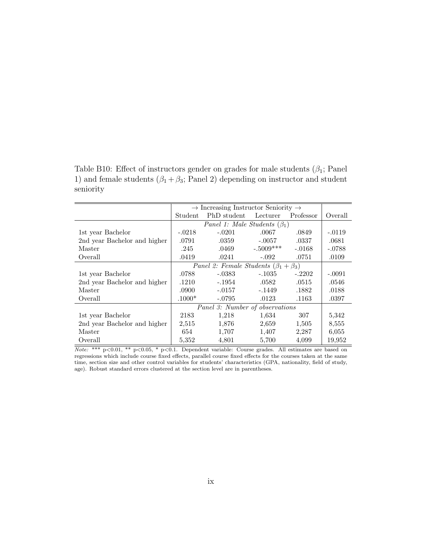Table B10: Effect of instructors gender on grades for male students  $(\beta_1;$  Panel 1) and female students  $(\beta_1 + \beta_3;$  Panel 2) depending on instructor and student seniority

|                              |          | $\rightarrow$ Increasing Instructor Seniority $\rightarrow$ |             |           |          |  |  |
|------------------------------|----------|-------------------------------------------------------------|-------------|-----------|----------|--|--|
|                              | Student  | PhD student                                                 | Lecturer    | Professor | Overall  |  |  |
|                              |          | Panel 1: Male Students $(\beta_1)$                          |             |           |          |  |  |
| 1st year Bachelor            | $-.0218$ | $-.0201$                                                    | .0067       | .0849     | $-.0119$ |  |  |
| 2nd year Bachelor and higher | .0791    | .0359                                                       | $-.0057$    | .0337     | .0681    |  |  |
| Master                       | .245     | .0469                                                       | $-.5009***$ | $-.0168$  | $-.0788$ |  |  |
| Overall                      | .0419    | .0241                                                       | $-.092$     | .0751     | .0109    |  |  |
|                              |          | <i>Panel 2: Female Students</i> $(\beta_1 + \beta_3)$       |             |           |          |  |  |
| 1st year Bachelor            | .0788    | $-.0383$                                                    | $-.1035$    | $-.2202$  | $-.0091$ |  |  |
| 2nd year Bachelor and higher | .1210    | -.1954                                                      | .0582       | .0515     | .0546    |  |  |
| Master                       | .0900    | $-.0157$                                                    | $-.1449$    | .1882     | .0188    |  |  |
| Overall                      | $.1000*$ | $-.0795$                                                    | .0123       | .1163     | .0397    |  |  |
|                              |          | Panel 3: Number of observations                             |             |           |          |  |  |
| 1st year Bachelor            | 2183     | 1,218                                                       | 1,634       | 307       | 5,342    |  |  |
| 2nd year Bachelor and higher | 2,515    | 1,876                                                       | 2,659       | 1,505     | 8,555    |  |  |
| Master                       | 654      | 1,707                                                       | 1,407       | 2,287     | 6,055    |  |  |
| Overall                      | 5,352    | 4,801                                                       | 5,700       | 4,099     | 19,952   |  |  |

 $\overline{Note: ** p<0.01, ** p<0.05, * p<0.1.}$  Dependent variable: Course grades. All estimates are based on regressions which include course fixed effects, parallel course fixed effects for the courses taken at the same time, section size and other control variables for students' characteristics (GPA, nationality, field of study, age). Robust standard errors clustered at the section level are in parentheses.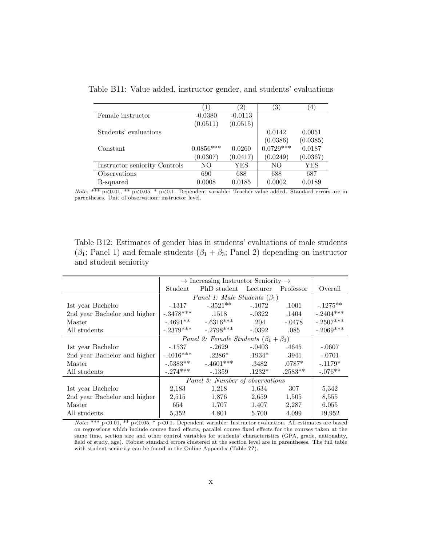|                               | $\mathbf{1}$ | $\left( 2\right)$ | $\left( 3\right)$ | $\overline{4}$ |
|-------------------------------|--------------|-------------------|-------------------|----------------|
| Female instructor             | $-0.0380$    | $-0.0113$         |                   |                |
|                               | (0.0511)     | (0.0515)          |                   |                |
| Students' evaluations         |              |                   | 0.0142            | 0.0051         |
|                               |              |                   | (0.0386)          | (0.0385)       |
| Constant                      | $0.0856***$  | 0.0260            | $0.0729***$       | 0.0187         |
|                               | (0.0307)     | (0.0417)          | (0.0249)          | (0.0367)       |
| Instructor seniority Controls | NO.          | YES               | NO.               | YES            |
| Observations                  | 690          | 688               | 688               | 687            |
| R-squared                     | 0.0008       | 0.0185            | 0.0002            | 0.0189         |

Table B11: Value added, instructor gender, and students' evaluations

Note: \*\*\* p<0.01, \*\* p<0.05, \* p<0.1. Dependent variable: Teacher value added. Standard errors are in parentheses. Unit of observation: instructor level.

Table B12: Estimates of gender bias in students' evaluations of male students  $(\beta_1;$  Panel 1) and female students  $(\beta_1 + \beta_3;$  Panel 2) depending on instructor and student seniority

|                              | $\rightarrow$ Increasing Instructor Seniority $\rightarrow$ |             |          |           |             |
|------------------------------|-------------------------------------------------------------|-------------|----------|-----------|-------------|
|                              | Student                                                     | PhD student | Lecturer | Professor | Overall     |
|                              | Panel 1: Male Students $(\beta_1)$                          |             |          |           |             |
| 1st year Bachelor            | -.1317                                                      | $-.3521**$  | $-.1072$ | .1001     | $-.1275**$  |
| 2nd year Bachelor and higher | $-.3478***$                                                 | .1518       | $-.0322$ | .1404     | $-.2404***$ |
| Master                       | $-.4691**$                                                  | $-.6316***$ | .204     | $-.0478$  | $-.2507***$ |
| All students                 | $-.2379***$                                                 | $-.2798***$ | $-0.392$ | .085      | $-.2069***$ |
|                              | <i>Panel 2: Female Students</i> $(\beta_1 + \beta_3)$       |             |          |           |             |
| 1st year Bachelor            | $-.1537$                                                    | $-.2629$    | $-.0403$ | .4645     | $-.0607$    |
| 2nd year Bachelor and higher | $-.4016***$                                                 | $.2286*$    | $.1934*$ | .3941     | $-.0701$    |
| Master                       | $-.5383**$                                                  | $-.4601***$ | .3482    | $.0787*$  | $-.1179*$   |
| All students                 | $-.274***$                                                  | $-.1359$    | $.1232*$ | $.2583**$ | $-.076**$   |
|                              | Panel 3: Number of observations                             |             |          |           |             |
| 1st year Bachelor            | 2,183                                                       | 1,218       | 1,634    | 307       | 5,342       |
| 2nd year Bachelor and higher | 2,515                                                       | 1,876       | 2,659    | 1,505     | 8,555       |
| Master                       | 654                                                         | 1,707       | 1,407    | 2,287     | 6,055       |
| All students                 | 5,352                                                       | 4,801       | 5,700    | 4,099     | 19,952      |

Note: \*\*\* p<0.01, \*\* p<0.05, \* p<0.1. Dependent variable: Instructor evaluation. All estimates are based on regressions which include course fixed effects, parallel course fixed effects for the courses taken at the same time, section size and other control variables for students' characteristics (GPA, grade, nationality, field of study, age). Robust standard errors clustered at the section level are in parentheses. The full table with student seniority can be found in the Online Appendix (Table ??).